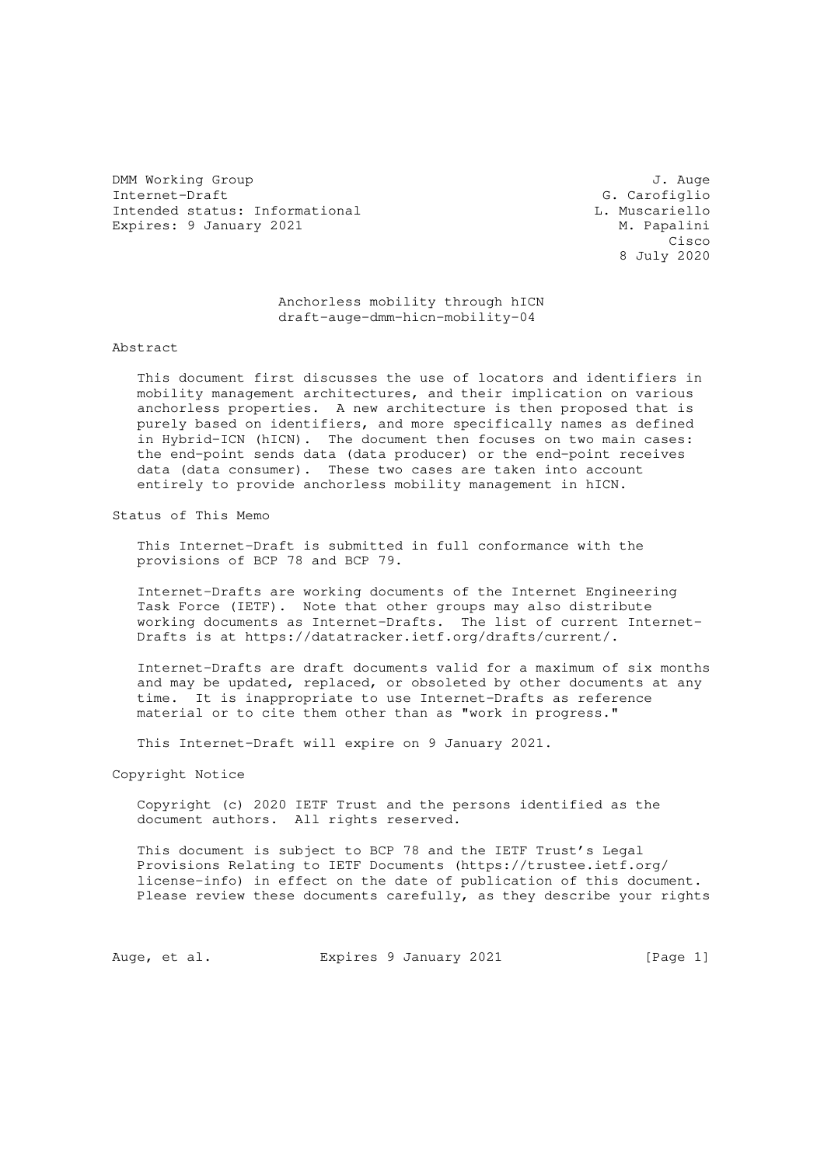DMM Working Group J. Auge Internet-Draft (Carofiglio de Carofiglio de Carofiglio de Carofiglio de Carofiglio de Carofiglio de Carofiglio de Carofiglio de Carofiglio de Carofiglio de Carofiglio de Carofiglio de Carofiglio de Carofiglio de Carofiglio Intended status: Informational Expires: 9 January 2021 M. Papalini

**Cisco Contract of the Contract of the Contract of the Contract of the Contract of the Contract of the Contract** 8 July 2020

> Anchorless mobility through hICN draft-auge-dmm-hicn-mobility-04

Abstract

 This document first discusses the use of locators and identifiers in mobility management architectures, and their implication on various anchorless properties. A new architecture is then proposed that is purely based on identifiers, and more specifically names as defined in Hybrid-ICN (hICN). The document then focuses on two main cases: the end-point sends data (data producer) or the end-point receives data (data consumer). These two cases are taken into account entirely to provide anchorless mobility management in hICN.

Status of This Memo

 This Internet-Draft is submitted in full conformance with the provisions of BCP 78 and BCP 79.

 Internet-Drafts are working documents of the Internet Engineering Task Force (IETF). Note that other groups may also distribute working documents as Internet-Drafts. The list of current Internet- Drafts is at https://datatracker.ietf.org/drafts/current/.

 Internet-Drafts are draft documents valid for a maximum of six months and may be updated, replaced, or obsoleted by other documents at any time. It is inappropriate to use Internet-Drafts as reference material or to cite them other than as "work in progress."

This Internet-Draft will expire on 9 January 2021.

Copyright Notice

 Copyright (c) 2020 IETF Trust and the persons identified as the document authors. All rights reserved.

 This document is subject to BCP 78 and the IETF Trust's Legal Provisions Relating to IETF Documents (https://trustee.ietf.org/ license-info) in effect on the date of publication of this document. Please review these documents carefully, as they describe your rights

Auge, et al. Expires 9 January 2021 [Page 1]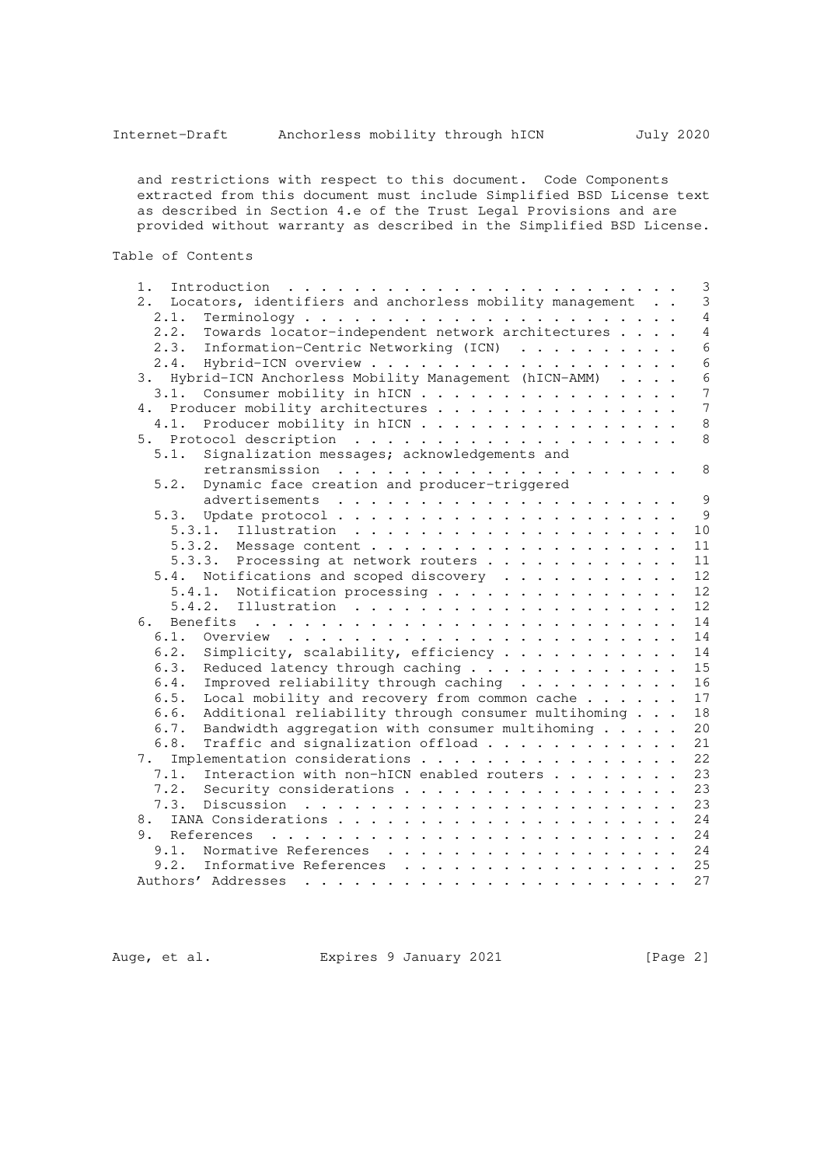and restrictions with respect to this document. Code Components extracted from this document must include Simplified BSD License text as described in Section 4.e of the Trust Legal Provisions and are provided without warranty as described in the Simplified BSD License.

Table of Contents

| 1.                                                          |  | 3               |
|-------------------------------------------------------------|--|-----------------|
| 2. Locators, identifiers and anchorless mobility management |  | $\mathfrak{Z}$  |
| 2.1.                                                        |  | $\overline{4}$  |
| Towards locator-independent network architectures<br>2.2.   |  | $\overline{4}$  |
| Information-Centric Networking (ICN)<br>2.3.                |  | $6\phantom{a}$  |
| 2.4.                                                        |  | $6\phantom{1}6$ |
| 3. Hybrid-ICN Anchorless Mobility Management (hICN-AMM)     |  | $\epsilon$      |
| Consumer mobility in hICN<br>3.1.                           |  | 7               |
| 4. Producer mobility architectures                          |  | $\overline{7}$  |
| Producer mobility in hICN<br>4.1.                           |  | 8               |
|                                                             |  | 8               |
| 5.1.<br>Signalization messages; acknowledgements and        |  |                 |
|                                                             |  | 8               |
| Dynamic face creation and producer-triggered<br>5.2.        |  |                 |
|                                                             |  | 9               |
|                                                             |  | 9               |
| 5.3.1.                                                      |  | 10              |
|                                                             |  | 11              |
| 5.3.3. Processing at network routers                        |  | 11              |
| 5.4. Notifications and scoped discovery                     |  | 12              |
| 5.4.1. Notification processing                              |  | 12              |
|                                                             |  | 12              |
| 6.                                                          |  | 14              |
| 6.1.                                                        |  | 14              |
| Simplicity, scalability, efficiency<br>6.2.                 |  | 14              |
| 6.3.<br>Reduced latency through caching                     |  | 15              |
| Improved reliability through caching $\cdots$<br>6.4.       |  | 16              |
| Local mobility and recovery from common cache<br>6.5.       |  | 17              |
| Additional reliability through consumer multihoming<br>6.6. |  | 18              |
| Bandwidth aggregation with consumer multihoming<br>6.7.     |  | 20              |
| 6.8.<br>Traffic and signalization offload                   |  | 21              |
| Implementation considerations<br>7.                         |  | 22              |
| Interaction with non-hICN enabled routers<br>7.1.           |  | 23              |
| Security considerations<br>7.2.                             |  | 23              |
| 7.3.                                                        |  | 23              |
| 8.                                                          |  | 24              |
|                                                             |  | 24              |
| 9.1.<br>Normative References                                |  | 24              |
| 9.2.<br>Informative References                              |  | 25              |
|                                                             |  | 27              |
|                                                             |  |                 |

Auge, et al. **Expires 9 January 2021** [Page 2]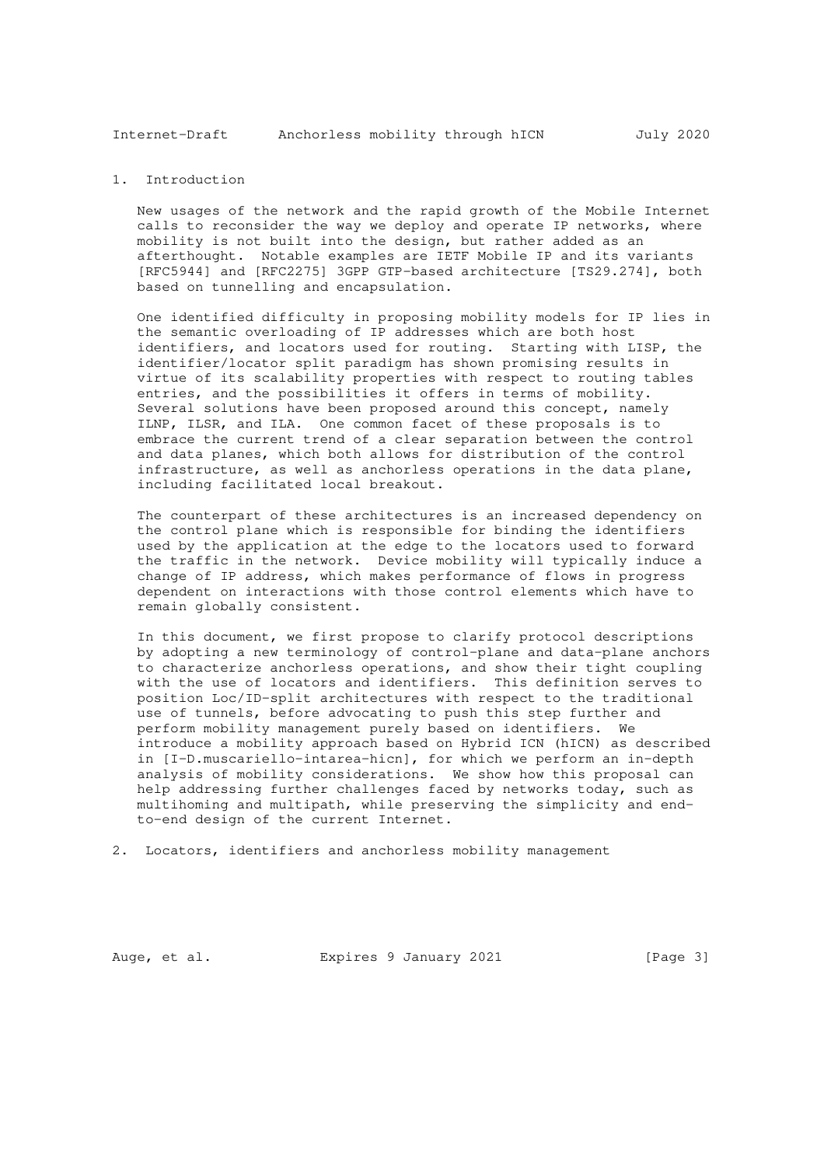Internet-Draft Anchorless mobility through hICN July 2020

# 1. Introduction

 New usages of the network and the rapid growth of the Mobile Internet calls to reconsider the way we deploy and operate IP networks, where mobility is not built into the design, but rather added as an afterthought. Notable examples are IETF Mobile IP and its variants [RFC5944] and [RFC2275] 3GPP GTP-based architecture [TS29.274], both based on tunnelling and encapsulation.

 One identified difficulty in proposing mobility models for IP lies in the semantic overloading of IP addresses which are both host identifiers, and locators used for routing. Starting with LISP, the identifier/locator split paradigm has shown promising results in virtue of its scalability properties with respect to routing tables entries, and the possibilities it offers in terms of mobility. Several solutions have been proposed around this concept, namely ILNP, ILSR, and ILA. One common facet of these proposals is to embrace the current trend of a clear separation between the control and data planes, which both allows for distribution of the control infrastructure, as well as anchorless operations in the data plane, including facilitated local breakout.

 The counterpart of these architectures is an increased dependency on the control plane which is responsible for binding the identifiers used by the application at the edge to the locators used to forward the traffic in the network. Device mobility will typically induce a change of IP address, which makes performance of flows in progress dependent on interactions with those control elements which have to remain globally consistent.

 In this document, we first propose to clarify protocol descriptions by adopting a new terminology of control-plane and data-plane anchors to characterize anchorless operations, and show their tight coupling with the use of locators and identifiers. This definition serves to position Loc/ID-split architectures with respect to the traditional use of tunnels, before advocating to push this step further and perform mobility management purely based on identifiers. We introduce a mobility approach based on Hybrid ICN (hICN) as described in [I-D.muscariello-intarea-hicn], for which we perform an in-depth analysis of mobility considerations. We show how this proposal can help addressing further challenges faced by networks today, such as multihoming and multipath, while preserving the simplicity and end to-end design of the current Internet.

2. Locators, identifiers and anchorless mobility management

Auge, et al. Expires 9 January 2021 [Page 3]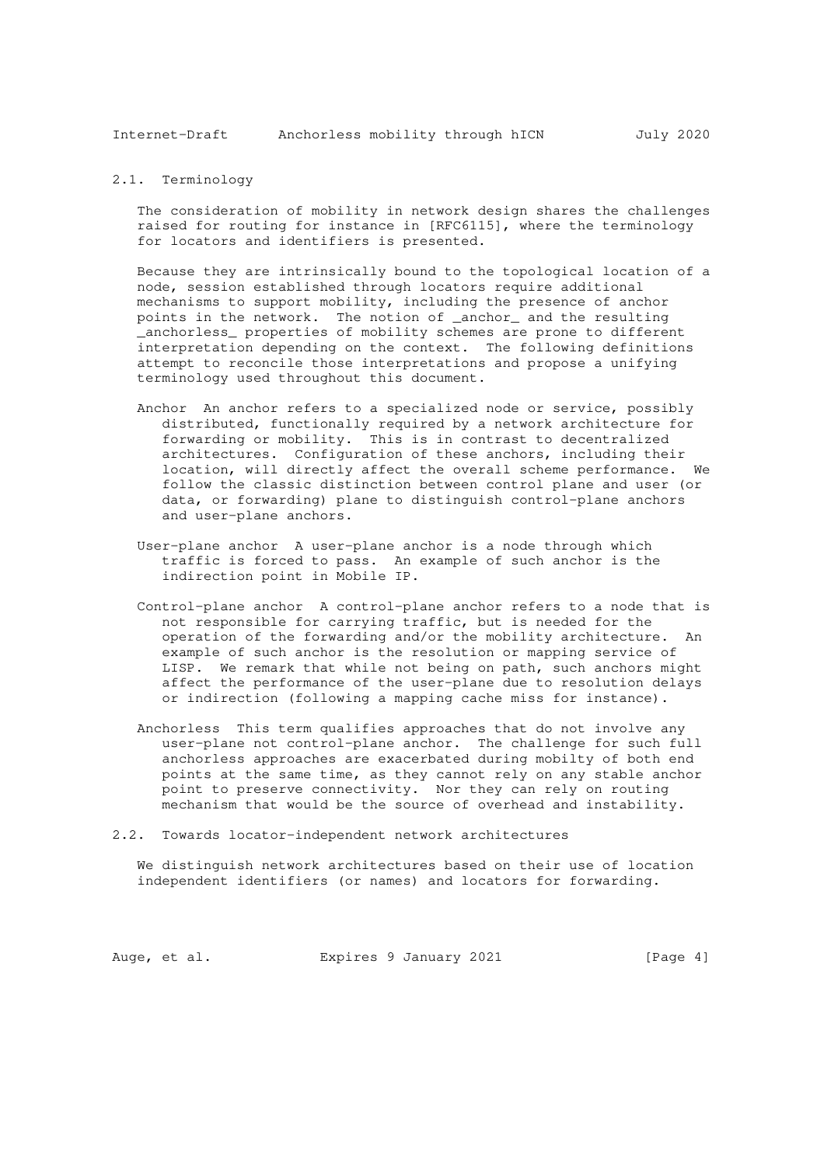Internet-Draft Anchorless mobility through hICN July 2020

### 2.1. Terminology

 The consideration of mobility in network design shares the challenges raised for routing for instance in [RFC6115], where the terminology for locators and identifiers is presented.

 Because they are intrinsically bound to the topological location of a node, session established through locators require additional mechanisms to support mobility, including the presence of anchor points in the network. The notion of \_anchor\_ and the resulting \_anchorless\_ properties of mobility schemes are prone to different interpretation depending on the context. The following definitions attempt to reconcile those interpretations and propose a unifying terminology used throughout this document.

- Anchor An anchor refers to a specialized node or service, possibly distributed, functionally required by a network architecture for forwarding or mobility. This is in contrast to decentralized architectures. Configuration of these anchors, including their location, will directly affect the overall scheme performance. We follow the classic distinction between control plane and user (or data, or forwarding) plane to distinguish control-plane anchors and user-plane anchors.
- User-plane anchor A user-plane anchor is a node through which traffic is forced to pass. An example of such anchor is the indirection point in Mobile IP.
- Control-plane anchor A control-plane anchor refers to a node that is not responsible for carrying traffic, but is needed for the operation of the forwarding and/or the mobility architecture. An example of such anchor is the resolution or mapping service of LISP. We remark that while not being on path, such anchors might affect the performance of the user-plane due to resolution delays or indirection (following a mapping cache miss for instance).
- Anchorless This term qualifies approaches that do not involve any user-plane not control-plane anchor. The challenge for such full anchorless approaches are exacerbated during mobilty of both end points at the same time, as they cannot rely on any stable anchor point to preserve connectivity. Nor they can rely on routing mechanism that would be the source of overhead and instability.
- 2.2. Towards locator-independent network architectures

 We distinguish network architectures based on their use of location independent identifiers (or names) and locators for forwarding.

Auge, et al. Expires 9 January 2021 [Page 4]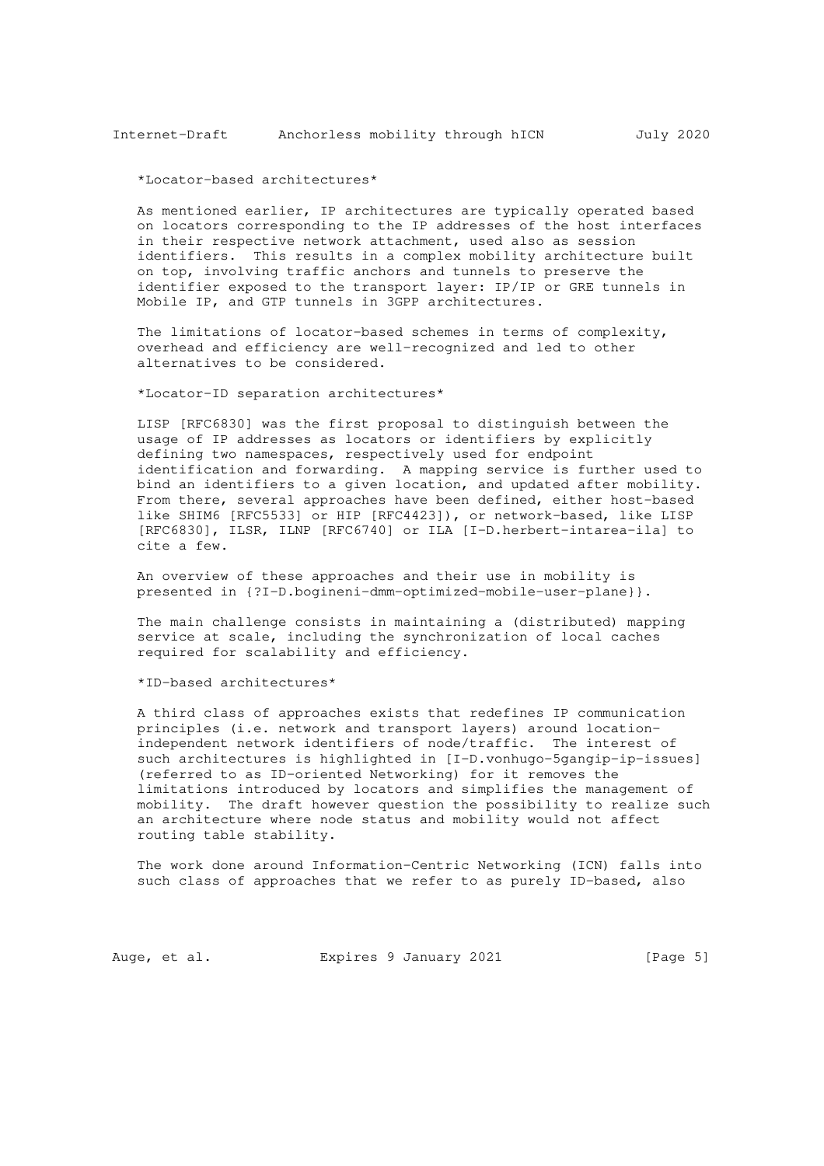\*Locator-based architectures\*

 As mentioned earlier, IP architectures are typically operated based on locators corresponding to the IP addresses of the host interfaces in their respective network attachment, used also as session identifiers. This results in a complex mobility architecture built on top, involving traffic anchors and tunnels to preserve the identifier exposed to the transport layer: IP/IP or GRE tunnels in Mobile IP, and GTP tunnels in 3GPP architectures.

 The limitations of locator-based schemes in terms of complexity, overhead and efficiency are well-recognized and led to other alternatives to be considered.

\*Locator-ID separation architectures\*

 LISP [RFC6830] was the first proposal to distinguish between the usage of IP addresses as locators or identifiers by explicitly defining two namespaces, respectively used for endpoint identification and forwarding. A mapping service is further used to bind an identifiers to a given location, and updated after mobility. From there, several approaches have been defined, either host-based like SHIM6 [RFC5533] or HIP [RFC4423]), or network-based, like LISP [RFC6830], ILSR, ILNP [RFC6740] or ILA [I-D.herbert-intarea-ila] to cite a few.

 An overview of these approaches and their use in mobility is presented in {?I-D.bogineni-dmm-optimized-mobile-user-plane}}.

 The main challenge consists in maintaining a (distributed) mapping service at scale, including the synchronization of local caches required for scalability and efficiency.

\*ID-based architectures\*

 A third class of approaches exists that redefines IP communication principles (i.e. network and transport layers) around location independent network identifiers of node/traffic. The interest of such architectures is highlighted in [I-D.vonhugo-5gangip-ip-issues] (referred to as ID-oriented Networking) for it removes the limitations introduced by locators and simplifies the management of mobility. The draft however question the possibility to realize such an architecture where node status and mobility would not affect routing table stability.

 The work done around Information-Centric Networking (ICN) falls into such class of approaches that we refer to as purely ID-based, also

Auge, et al. Expires 9 January 2021 [Page 5]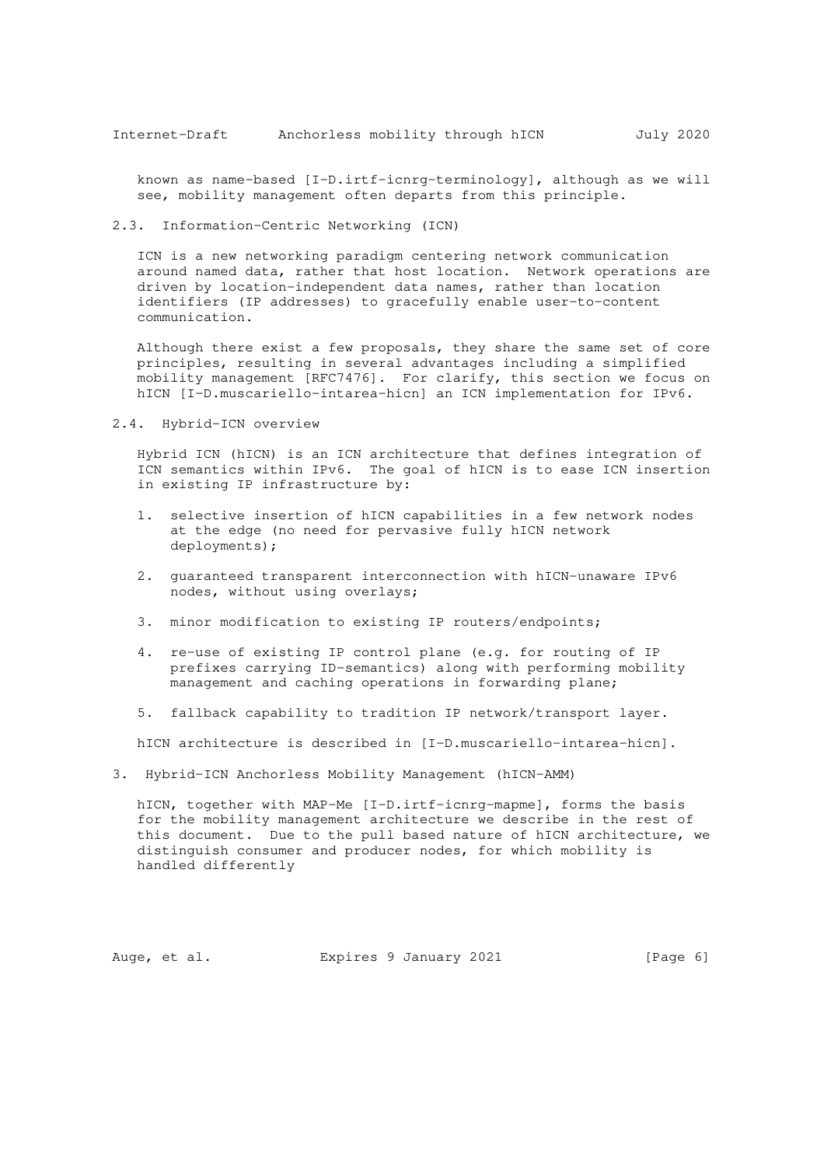known as name-based [I-D.irtf-icnrg-terminology], although as we will see, mobility management often departs from this principle.

2.3. Information-Centric Networking (ICN)

 ICN is a new networking paradigm centering network communication around named data, rather that host location. Network operations are driven by location-independent data names, rather than location identifiers (IP addresses) to gracefully enable user-to-content communication.

 Although there exist a few proposals, they share the same set of core principles, resulting in several advantages including a simplified mobility management [RFC7476]. For clarify, this section we focus on hICN [I-D.muscariello-intarea-hicn] an ICN implementation for IPv6.

2.4. Hybrid-ICN overview

 Hybrid ICN (hICN) is an ICN architecture that defines integration of ICN semantics within IPv6. The goal of hICN is to ease ICN insertion in existing IP infrastructure by:

- 1. selective insertion of hICN capabilities in a few network nodes at the edge (no need for pervasive fully hICN network deployments);
- 2. guaranteed transparent interconnection with hICN-unaware IPv6 nodes, without using overlays;
- 3. minor modification to existing IP routers/endpoints;
- 4. re-use of existing IP control plane (e.g. for routing of IP prefixes carrying ID-semantics) along with performing mobility management and caching operations in forwarding plane;
- 5. fallback capability to tradition IP network/transport layer.

hICN architecture is described in [I-D.muscariello-intarea-hicn].

3. Hybrid-ICN Anchorless Mobility Management (hICN-AMM)

 hICN, together with MAP-Me [I-D.irtf-icnrg-mapme], forms the basis for the mobility management architecture we describe in the rest of this document. Due to the pull based nature of hICN architecture, we distinguish consumer and producer nodes, for which mobility is handled differently

Auge, et al. Expires 9 January 2021 [Page 6]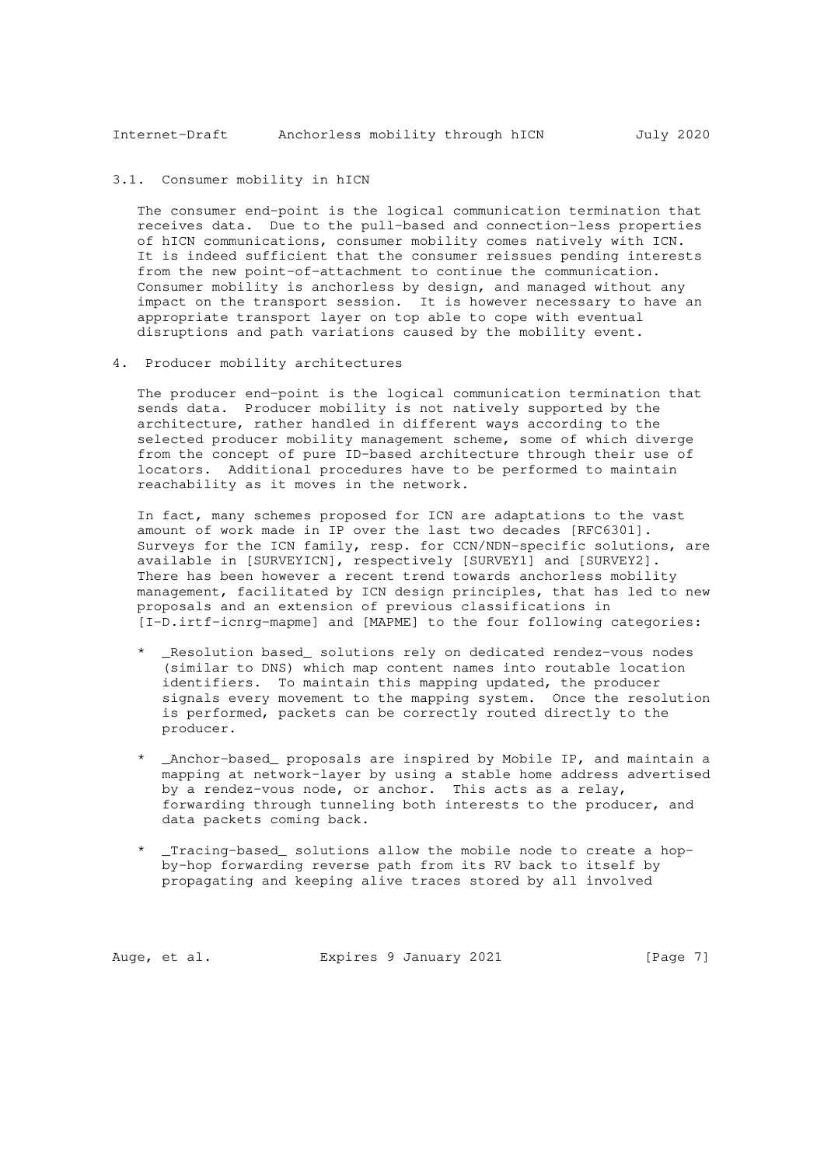## 3.1. Consumer mobility in hICN

 The consumer end-point is the logical communication termination that receives data. Due to the pull-based and connection-less properties of hICN communications, consumer mobility comes natively with ICN. It is indeed sufficient that the consumer reissues pending interests from the new point-of-attachment to continue the communication. Consumer mobility is anchorless by design, and managed without any impact on the transport session. It is however necessary to have an appropriate transport layer on top able to cope with eventual disruptions and path variations caused by the mobility event.

## 4. Producer mobility architectures

 The producer end-point is the logical communication termination that sends data. Producer mobility is not natively supported by the architecture, rather handled in different ways according to the selected producer mobility management scheme, some of which diverge from the concept of pure ID-based architecture through their use of locators. Additional procedures have to be performed to maintain reachability as it moves in the network.

 In fact, many schemes proposed for ICN are adaptations to the vast amount of work made in IP over the last two decades [RFC6301]. Surveys for the ICN family, resp. for CCN/NDN-specific solutions, are available in [SURVEYICN], respectively [SURVEY1] and [SURVEY2]. There has been however a recent trend towards anchorless mobility management, facilitated by ICN design principles, that has led to new proposals and an extension of previous classifications in [I-D.irtf-icnrg-mapme] and [MAPME] to the four following categories:

- \_Resolution based\_ solutions rely on dedicated rendez-vous nodes (similar to DNS) which map content names into routable location identifiers. To maintain this mapping updated, the producer signals every movement to the mapping system. Once the resolution is performed, packets can be correctly routed directly to the producer.
- \_Anchor-based\_ proposals are inspired by Mobile IP, and maintain a mapping at network-layer by using a stable home address advertised by a rendez-vous node, or anchor. This acts as a relay, forwarding through tunneling both interests to the producer, and data packets coming back.
- \_Tracing-based\_ solutions allow the mobile node to create a hop by-hop forwarding reverse path from its RV back to itself by propagating and keeping alive traces stored by all involved

Auge, et al. Expires 9 January 2021 [Page 7]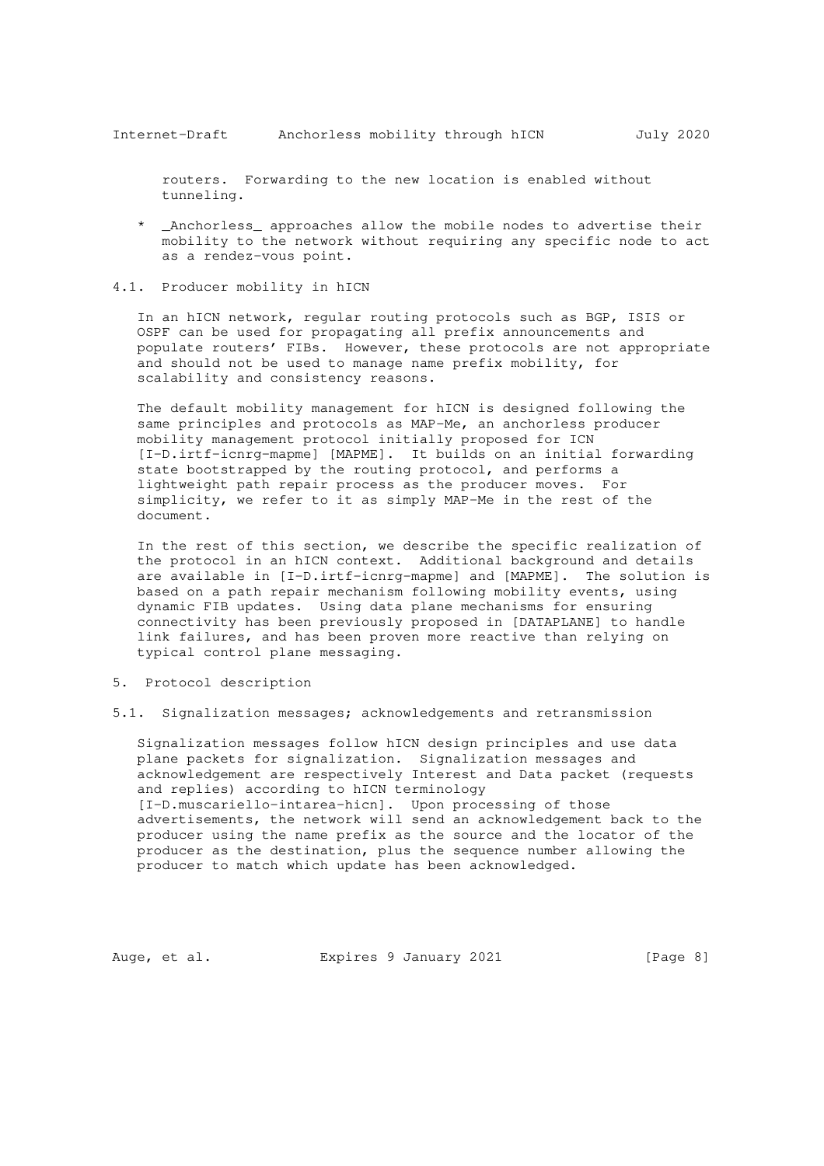routers. Forwarding to the new location is enabled without tunneling.

- \_Anchorless\_ approaches allow the mobile nodes to advertise their mobility to the network without requiring any specific node to act as a rendez-vous point.
- 4.1. Producer mobility in hICN

 In an hICN network, regular routing protocols such as BGP, ISIS or OSPF can be used for propagating all prefix announcements and populate routers' FIBs. However, these protocols are not appropriate and should not be used to manage name prefix mobility, for scalability and consistency reasons.

 The default mobility management for hICN is designed following the same principles and protocols as MAP-Me, an anchorless producer mobility management protocol initially proposed for ICN [I-D.irtf-icnrg-mapme] [MAPME]. It builds on an initial forwarding state bootstrapped by the routing protocol, and performs a lightweight path repair process as the producer moves. For simplicity, we refer to it as simply MAP-Me in the rest of the document.

 In the rest of this section, we describe the specific realization of the protocol in an hICN context. Additional background and details are available in [I-D.irtf-icnrg-mapme] and [MAPME]. The solution is based on a path repair mechanism following mobility events, using dynamic FIB updates. Using data plane mechanisms for ensuring connectivity has been previously proposed in [DATAPLANE] to handle link failures, and has been proven more reactive than relying on typical control plane messaging.

- 5. Protocol description
- 5.1. Signalization messages; acknowledgements and retransmission

 Signalization messages follow hICN design principles and use data plane packets for signalization. Signalization messages and acknowledgement are respectively Interest and Data packet (requests and replies) according to hICN terminology [I-D.muscariello-intarea-hicn]. Upon processing of those advertisements, the network will send an acknowledgement back to the producer using the name prefix as the source and the locator of the producer as the destination, plus the sequence number allowing the producer to match which update has been acknowledged.

Auge, et al. Expires 9 January 2021 [Page 8]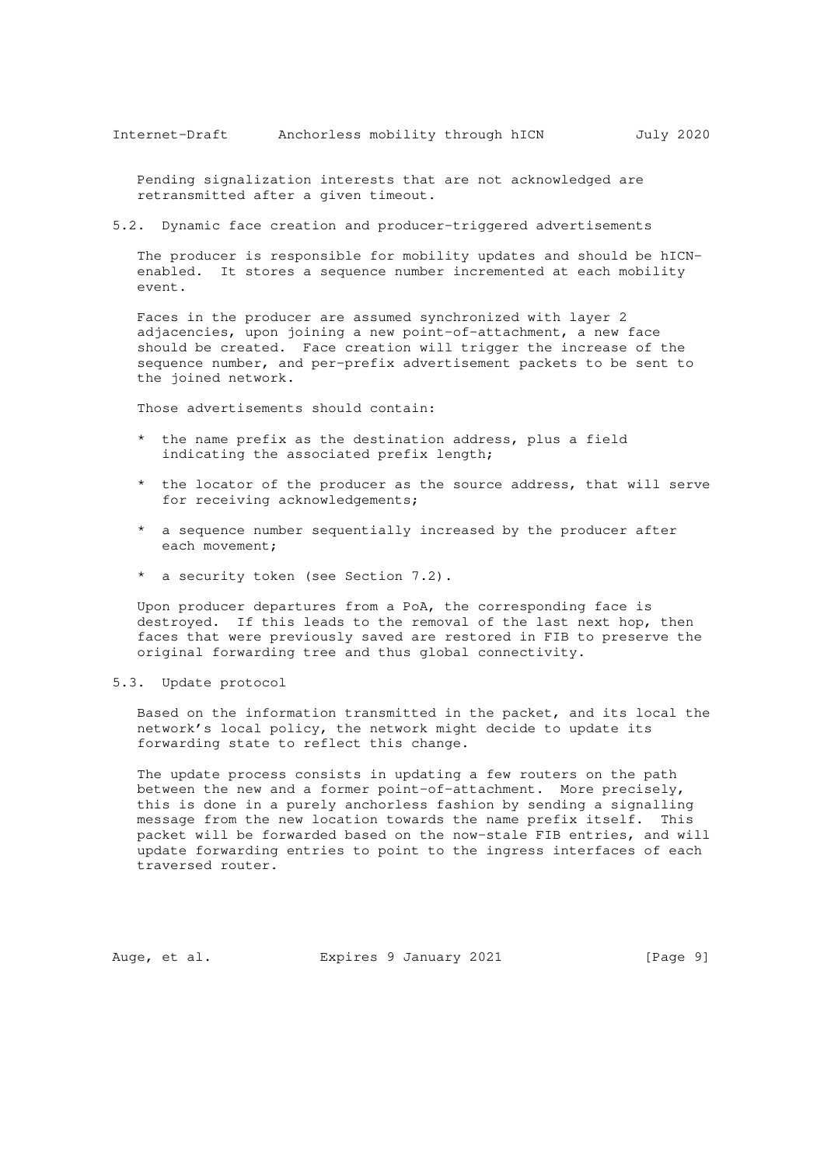Pending signalization interests that are not acknowledged are retransmitted after a given timeout.

5.2. Dynamic face creation and producer-triggered advertisements

 The producer is responsible for mobility updates and should be hICN enabled. It stores a sequence number incremented at each mobility event.

 Faces in the producer are assumed synchronized with layer 2 adjacencies, upon joining a new point-of-attachment, a new face should be created. Face creation will trigger the increase of the sequence number, and per-prefix advertisement packets to be sent to the joined network.

Those advertisements should contain:

- \* the name prefix as the destination address, plus a field indicating the associated prefix length;
- \* the locator of the producer as the source address, that will serve for receiving acknowledgements;
- \* a sequence number sequentially increased by the producer after each movement;
- \* a security token (see Section 7.2).

 Upon producer departures from a PoA, the corresponding face is destroyed. If this leads to the removal of the last next hop, then faces that were previously saved are restored in FIB to preserve the original forwarding tree and thus global connectivity.

#### 5.3. Update protocol

 Based on the information transmitted in the packet, and its local the network's local policy, the network might decide to update its forwarding state to reflect this change.

 The update process consists in updating a few routers on the path between the new and a former point-of-attachment. More precisely, this is done in a purely anchorless fashion by sending a signalling message from the new location towards the name prefix itself. This packet will be forwarded based on the now-stale FIB entries, and will update forwarding entries to point to the ingress interfaces of each traversed router.

Auge, et al. Expires 9 January 2021 [Page 9]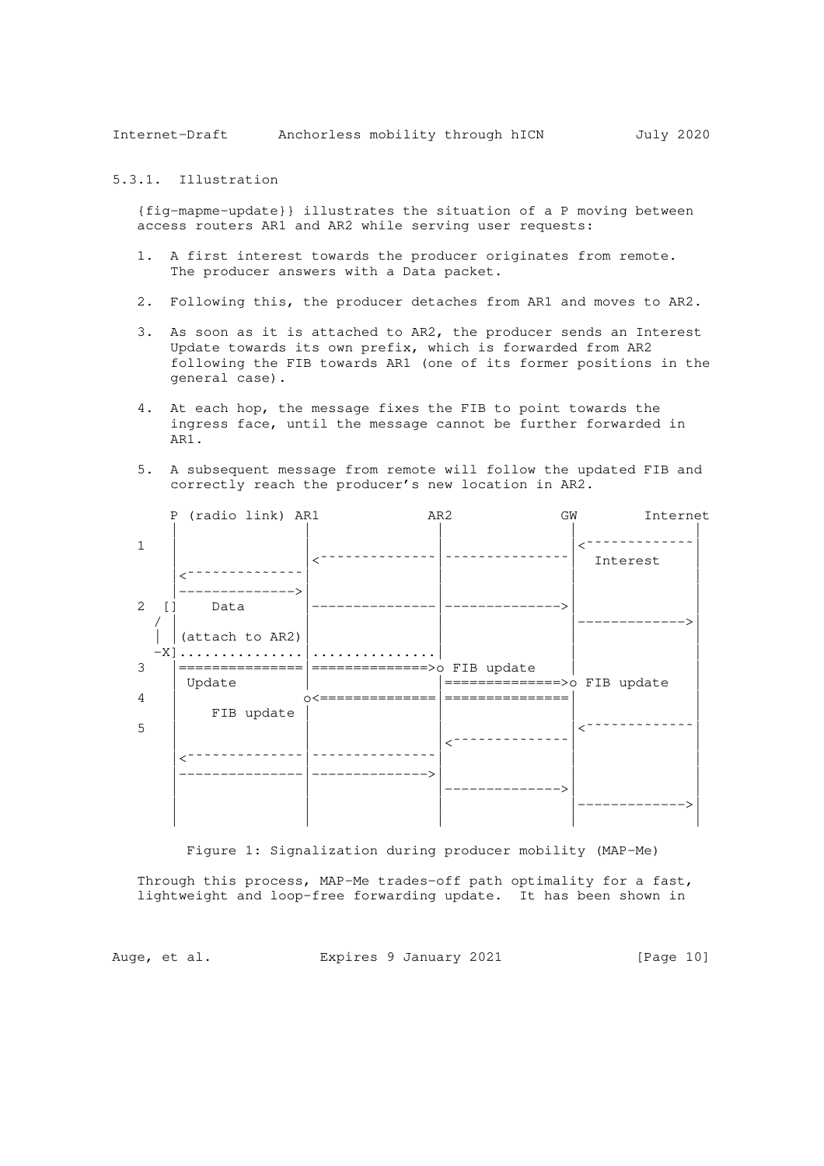Internet-Draft Anchorless mobility through hICN July 2020

5.3.1. Illustration

 {fig-mapme-update}} illustrates the situation of a P moving between access routers AR1 and AR2 while serving user requests:

- 1. A first interest towards the producer originates from remote. The producer answers with a Data packet.
- 2. Following this, the producer detaches from AR1 and moves to AR2.
- 3. As soon as it is attached to AR2, the producer sends an Interest Update towards its own prefix, which is forwarded from AR2 following the FIB towards AR1 (one of its former positions in the general case).
- 4. At each hop, the message fixes the FIB to point towards the ingress face, until the message cannot be further forwarded in AR1.
- 5. A subsequent message from remote will follow the updated FIB and correctly reach the producer's new location in AR2.

|        | P (radio link) AR1                                                                                                                             | AR2           | GW                         | Internet |
|--------|------------------------------------------------------------------------------------------------------------------------------------------------|---------------|----------------------------|----------|
|        |                                                                                                                                                |               |                            | Interest |
| 2      | Data                                                                                                                                           |               |                            |          |
|        | (attach to AR2)<br>$\mathbb{E}[\mathbf{X}]\text{.}\dots\text{.}\dots\text{.}\dots\text{.}\dots\text{.}\dots\text{.}\dots\text{.}\dots\text{.}$ |               |                            |          |
| 3      | Update                                                                                                                                         |               | $==========->o$ FIB update |          |
| 4<br>5 | FIB update                                                                                                                                     | ∩<=========== | ======                     |          |
|        |                                                                                                                                                |               |                            |          |
|        |                                                                                                                                                |               |                            |          |
|        |                                                                                                                                                |               |                            |          |

Figure 1: Signalization during producer mobility (MAP-Me)

 Through this process, MAP-Me trades-off path optimality for a fast, lightweight and loop-free forwarding update. It has been shown in

Auge, et al. Expires 9 January 2021 [Page 10]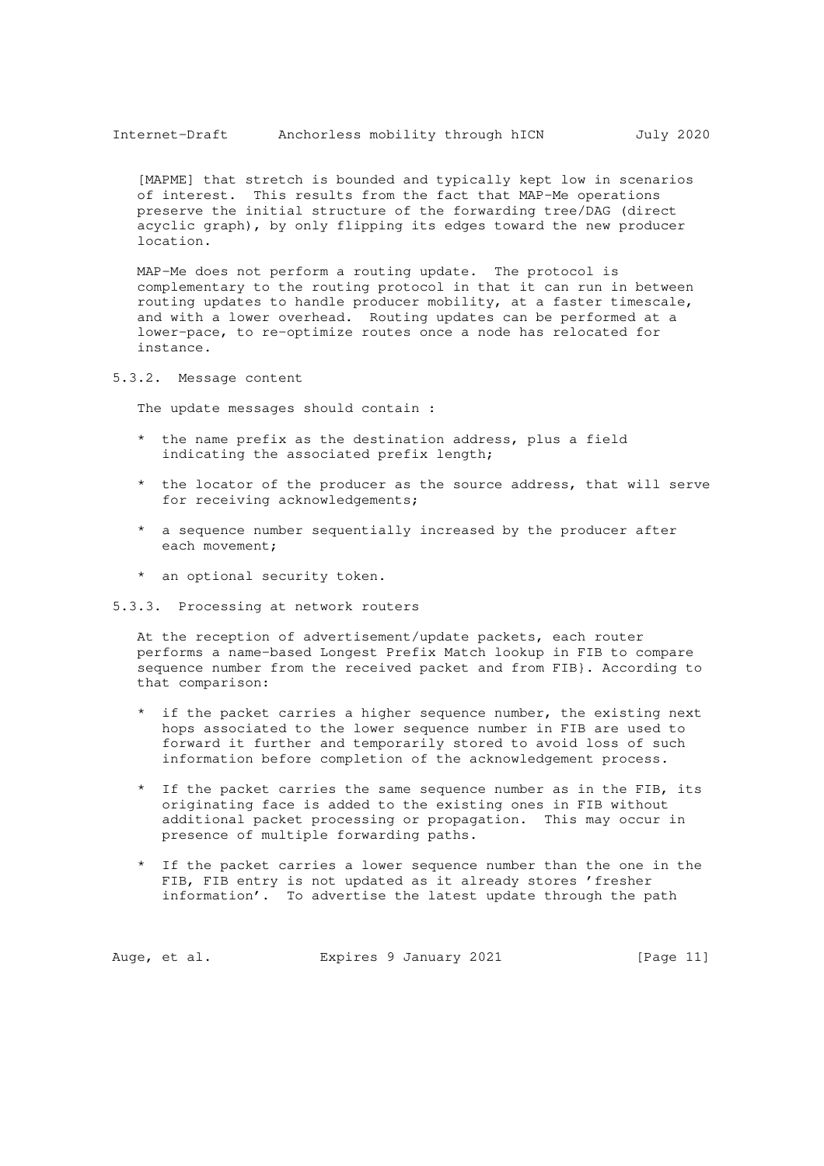[MAPME] that stretch is bounded and typically kept low in scenarios of interest. This results from the fact that MAP-Me operations preserve the initial structure of the forwarding tree/DAG (direct acyclic graph), by only flipping its edges toward the new producer location.

 MAP-Me does not perform a routing update. The protocol is complementary to the routing protocol in that it can run in between routing updates to handle producer mobility, at a faster timescale, and with a lower overhead. Routing updates can be performed at a lower-pace, to re-optimize routes once a node has relocated for instance.

5.3.2. Message content

The update messages should contain :

- \* the name prefix as the destination address, plus a field indicating the associated prefix length;
- \* the locator of the producer as the source address, that will serve for receiving acknowledgements;
- \* a sequence number sequentially increased by the producer after each movement;
- \* an optional security token.
- 5.3.3. Processing at network routers

 At the reception of advertisement/update packets, each router performs a name-based Longest Prefix Match lookup in FIB to compare sequence number from the received packet and from FIB}. According to that comparison:

- if the packet carries a higher sequence number, the existing next hops associated to the lower sequence number in FIB are used to forward it further and temporarily stored to avoid loss of such information before completion of the acknowledgement process.
- If the packet carries the same sequence number as in the FIB, its originating face is added to the existing ones in FIB without additional packet processing or propagation. This may occur in presence of multiple forwarding paths.
- If the packet carries a lower sequence number than the one in the FIB, FIB entry is not updated as it already stores 'fresher information'. To advertise the latest update through the path

Auge, et al. Expires 9 January 2021 [Page 11]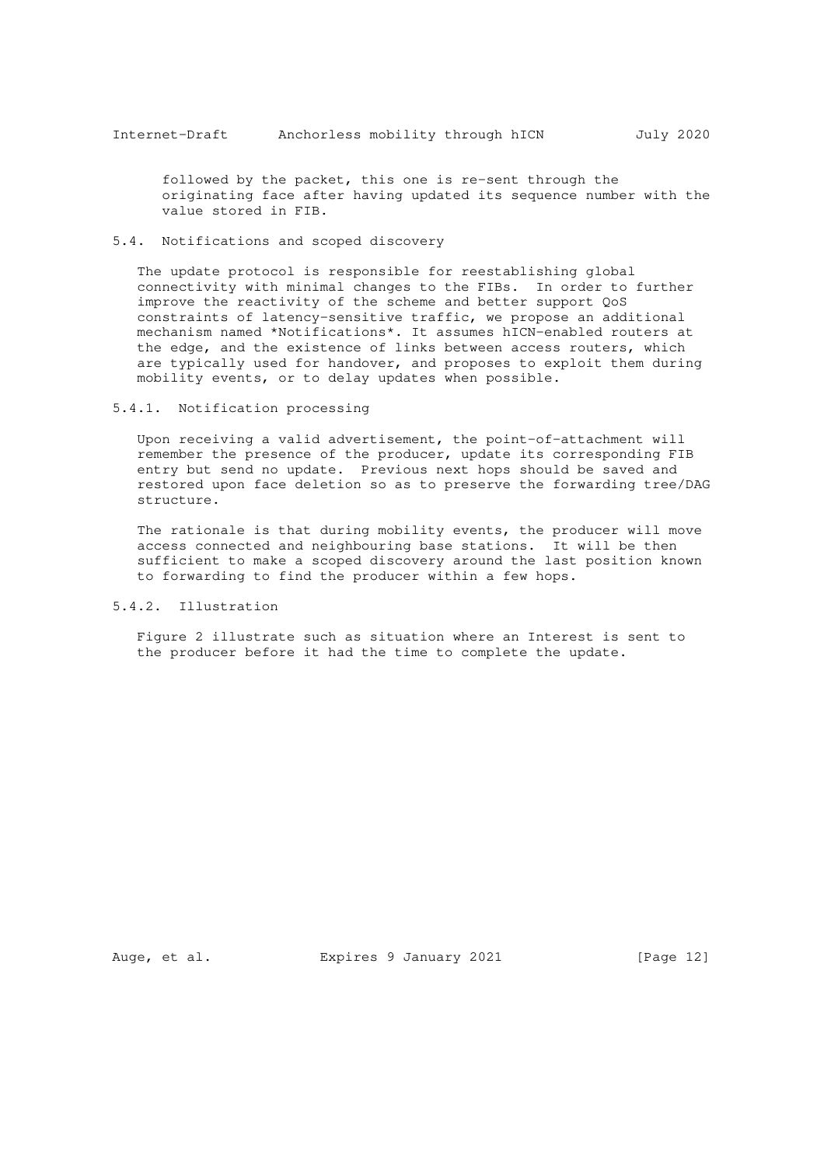followed by the packet, this one is re-sent through the originating face after having updated its sequence number with the value stored in FIB.

# 5.4. Notifications and scoped discovery

 The update protocol is responsible for reestablishing global connectivity with minimal changes to the FIBs. In order to further improve the reactivity of the scheme and better support QoS constraints of latency-sensitive traffic, we propose an additional mechanism named \*Notifications\*. It assumes hICN-enabled routers at the edge, and the existence of links between access routers, which are typically used for handover, and proposes to exploit them during mobility events, or to delay updates when possible.

#### 5.4.1. Notification processing

 Upon receiving a valid advertisement, the point-of-attachment will remember the presence of the producer, update its corresponding FIB entry but send no update. Previous next hops should be saved and restored upon face deletion so as to preserve the forwarding tree/DAG structure.

 The rationale is that during mobility events, the producer will move access connected and neighbouring base stations. It will be then sufficient to make a scoped discovery around the last position known to forwarding to find the producer within a few hops.

#### 5.4.2. Illustration

 Figure 2 illustrate such as situation where an Interest is sent to the producer before it had the time to complete the update.

Auge, et al. Expires 9 January 2021 [Page 12]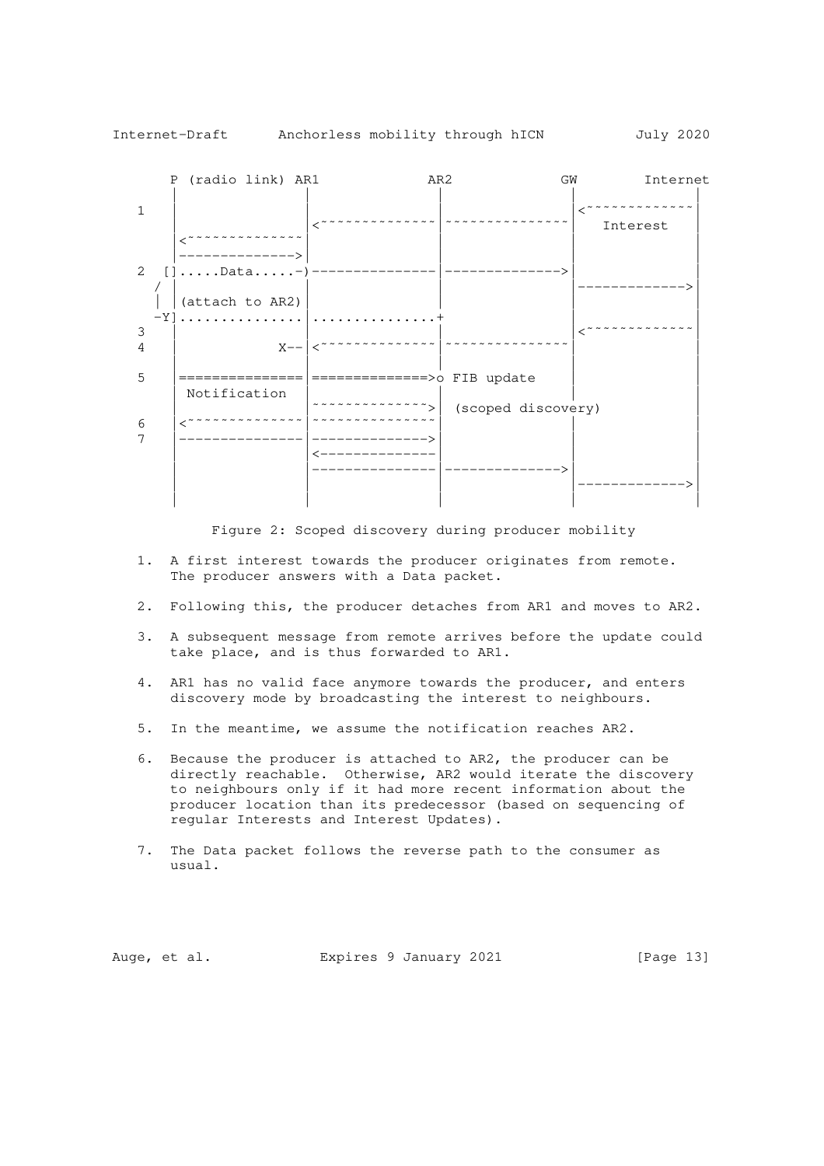

Figure 2: Scoped discovery during producer mobility

- 1. A first interest towards the producer originates from remote. The producer answers with a Data packet.
- 2. Following this, the producer detaches from AR1 and moves to AR2.
- 3. A subsequent message from remote arrives before the update could take place, and is thus forwarded to AR1.
- 4. AR1 has no valid face anymore towards the producer, and enters discovery mode by broadcasting the interest to neighbours.
- 5. In the meantime, we assume the notification reaches AR2.
- 6. Because the producer is attached to AR2, the producer can be directly reachable. Otherwise, AR2 would iterate the discovery to neighbours only if it had more recent information about the producer location than its predecessor (based on sequencing of regular Interests and Interest Updates).
- 7. The Data packet follows the reverse path to the consumer as usual.

Auge, et al. Expires 9 January 2021 [Page 13]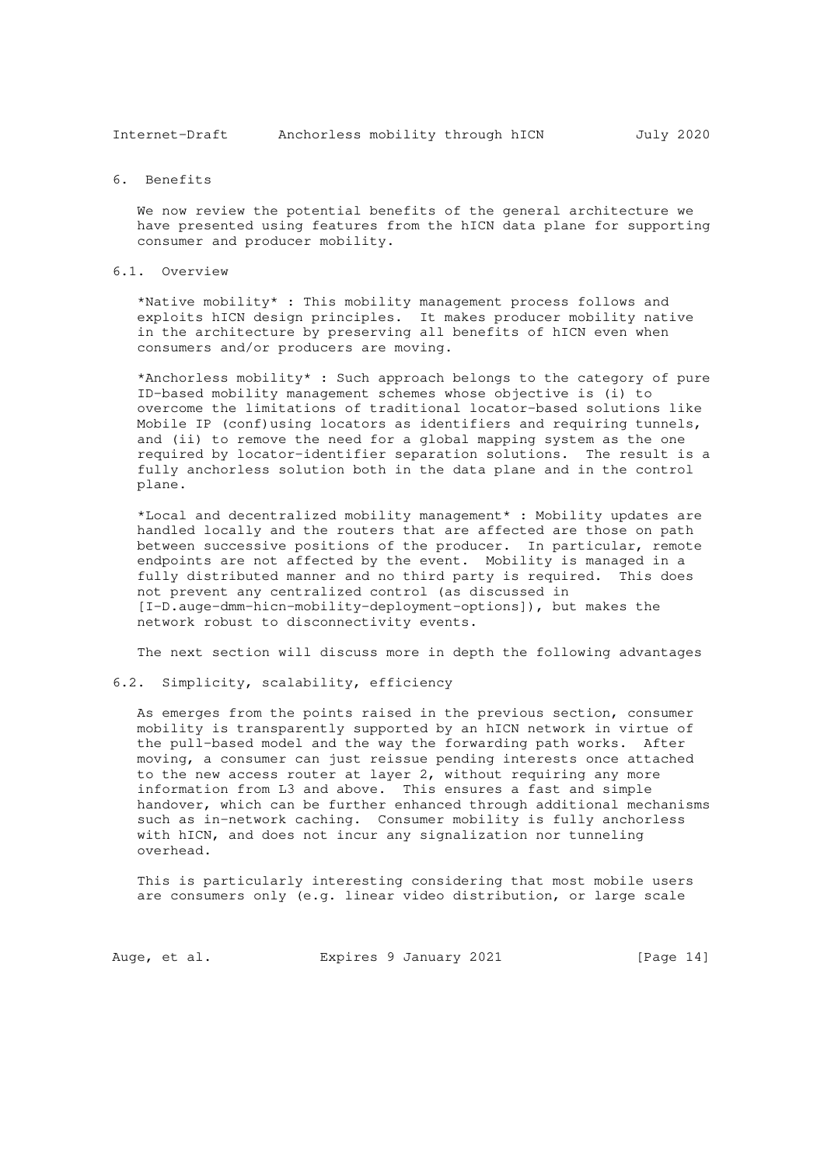Internet-Draft Anchorless mobility through hICN July 2020

### 6. Benefits

 We now review the potential benefits of the general architecture we have presented using features from the hICN data plane for supporting consumer and producer mobility.

### 6.1. Overview

 \*Native mobility\* : This mobility management process follows and exploits hICN design principles. It makes producer mobility native in the architecture by preserving all benefits of hICN even when consumers and/or producers are moving.

 \*Anchorless mobility\* : Such approach belongs to the category of pure ID-based mobility management schemes whose objective is (i) to overcome the limitations of traditional locator-based solutions like Mobile IP (conf)using locators as identifiers and requiring tunnels, and (ii) to remove the need for a global mapping system as the one required by locator-identifier separation solutions. The result is a fully anchorless solution both in the data plane and in the control plane.

 \*Local and decentralized mobility management\* : Mobility updates are handled locally and the routers that are affected are those on path between successive positions of the producer. In particular, remote endpoints are not affected by the event. Mobility is managed in a fully distributed manner and no third party is required. This does not prevent any centralized control (as discussed in [I-D.auge-dmm-hicn-mobility-deployment-options]), but makes the network robust to disconnectivity events.

The next section will discuss more in depth the following advantages

#### 6.2. Simplicity, scalability, efficiency

 As emerges from the points raised in the previous section, consumer mobility is transparently supported by an hICN network in virtue of the pull-based model and the way the forwarding path works. After moving, a consumer can just reissue pending interests once attached to the new access router at layer 2, without requiring any more information from L3 and above. This ensures a fast and simple handover, which can be further enhanced through additional mechanisms such as in-network caching. Consumer mobility is fully anchorless with hICN, and does not incur any signalization nor tunneling overhead.

 This is particularly interesting considering that most mobile users are consumers only (e.g. linear video distribution, or large scale

Auge, et al. Expires 9 January 2021 [Page 14]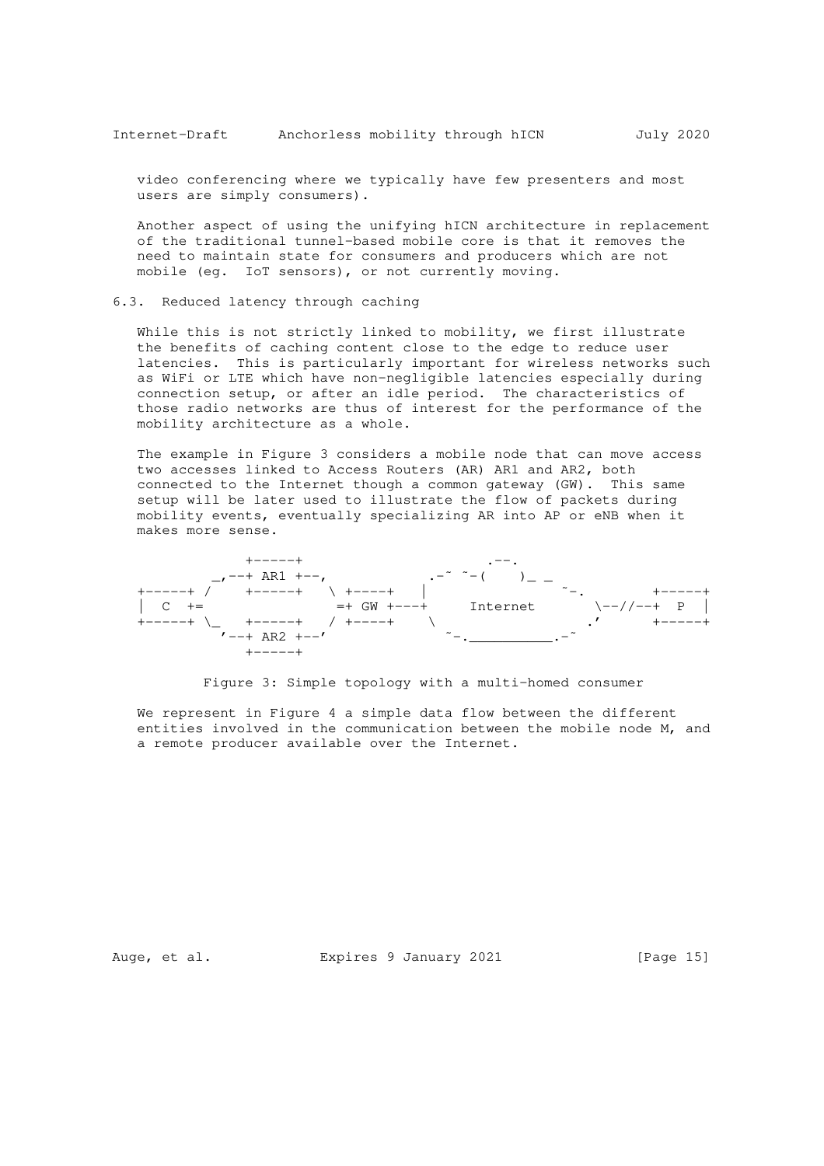video conferencing where we typically have few presenters and most users are simply consumers).

 Another aspect of using the unifying hICN architecture in replacement of the traditional tunnel-based mobile core is that it removes the need to maintain state for consumers and producers which are not mobile (eg. IoT sensors), or not currently moving.

#### 6.3. Reduced latency through caching

 While this is not strictly linked to mobility, we first illustrate the benefits of caching content close to the edge to reduce user latencies. This is particularly important for wireless networks such as WiFi or LTE which have non-negligible latencies especially during connection setup, or after an idle period. The characteristics of those radio networks are thus of interest for the performance of the mobility architecture as a whole.

 The example in Figure 3 considers a mobile node that can move access two accesses linked to Access Routers (AR) AR1 and AR2, both connected to the Internet though a common gateway (GW). This same setup will be later used to illustrate the flow of packets during mobility events, eventually specializing AR into AP or eNB when it makes more sense.



#### Figure 3: Simple topology with a multi-homed consumer

 We represent in Figure 4 a simple data flow between the different entities involved in the communication between the mobile node M, and a remote producer available over the Internet.

Auge, et al. Expires 9 January 2021 [Page 15]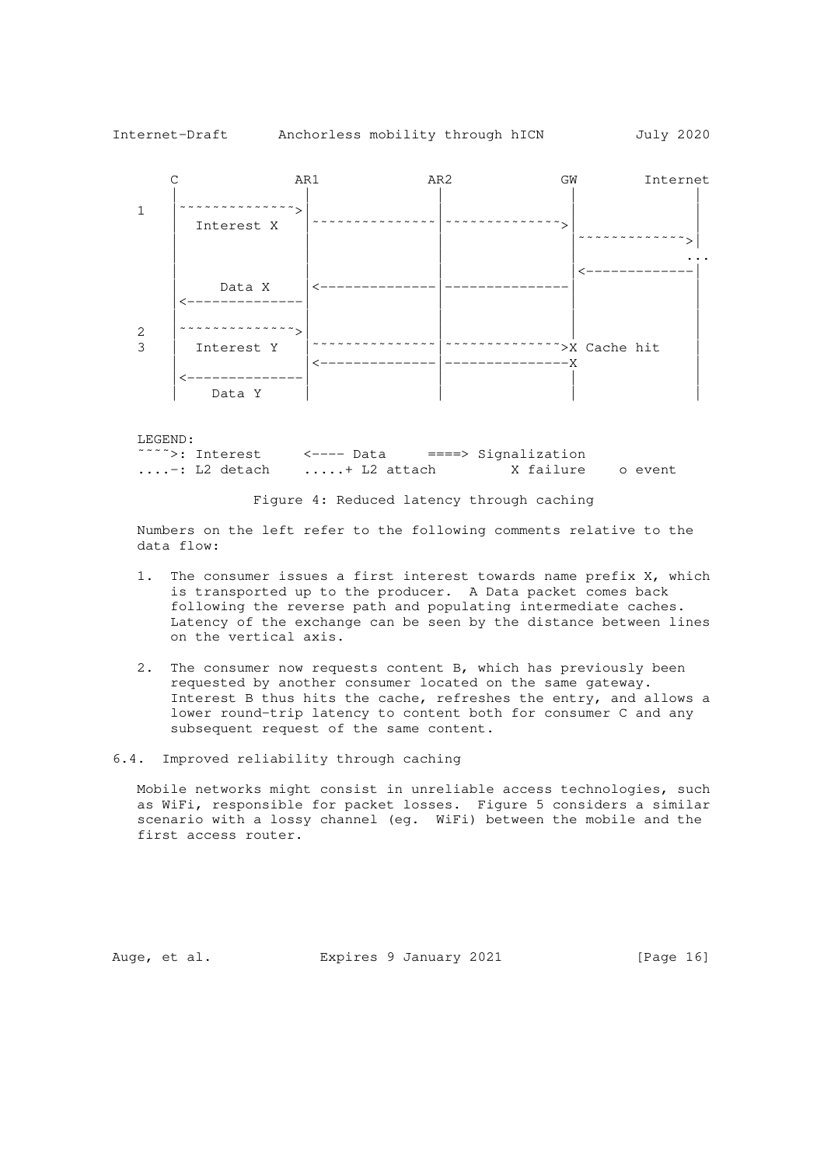





 Numbers on the left refer to the following comments relative to the data flow:

- 1. The consumer issues a first interest towards name prefix X, which is transported up to the producer. A Data packet comes back following the reverse path and populating intermediate caches. Latency of the exchange can be seen by the distance between lines on the vertical axis.
- 2. The consumer now requests content B, which has previously been requested by another consumer located on the same gateway. Interest B thus hits the cache, refreshes the entry, and allows a lower round-trip latency to content both for consumer C and any subsequent request of the same content.

6.4. Improved reliability through caching

 Mobile networks might consist in unreliable access technologies, such as WiFi, responsible for packet losses. Figure 5 considers a similar scenario with a lossy channel (eg. WiFi) between the mobile and the first access router.

Auge, et al. Expires 9 January 2021 [Page 16]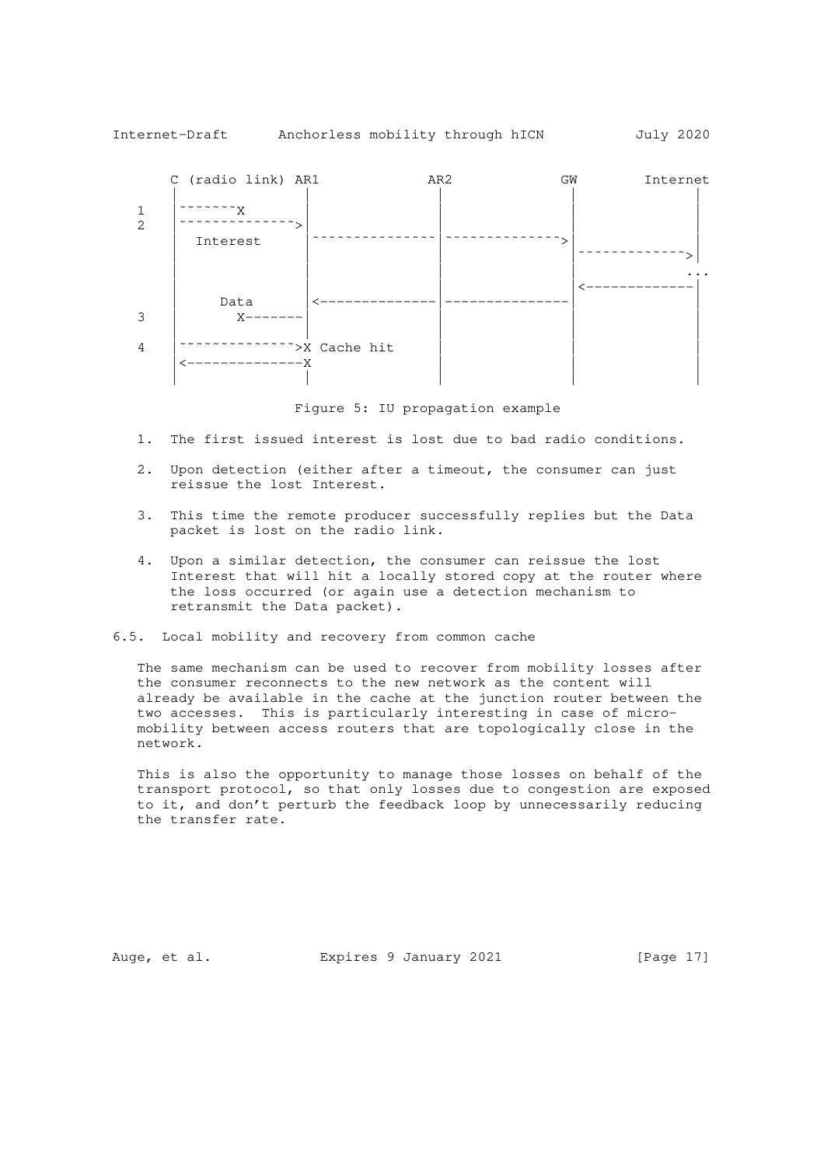

Figure 5: IU propagation example

- 1. The first issued interest is lost due to bad radio conditions.
- 2. Upon detection (either after a timeout, the consumer can just reissue the lost Interest.
- 3. This time the remote producer successfully replies but the Data packet is lost on the radio link.
- 4. Upon a similar detection, the consumer can reissue the lost Interest that will hit a locally stored copy at the router where the loss occurred (or again use a detection mechanism to retransmit the Data packet).
- 6.5. Local mobility and recovery from common cache

 The same mechanism can be used to recover from mobility losses after the consumer reconnects to the new network as the content will already be available in the cache at the junction router between the two accesses. This is particularly interesting in case of micro mobility between access routers that are topologically close in the network.

 This is also the opportunity to manage those losses on behalf of the transport protocol, so that only losses due to congestion are exposed to it, and don't perturb the feedback loop by unnecessarily reducing the transfer rate.

Auge, et al. Expires 9 January 2021 [Page 17]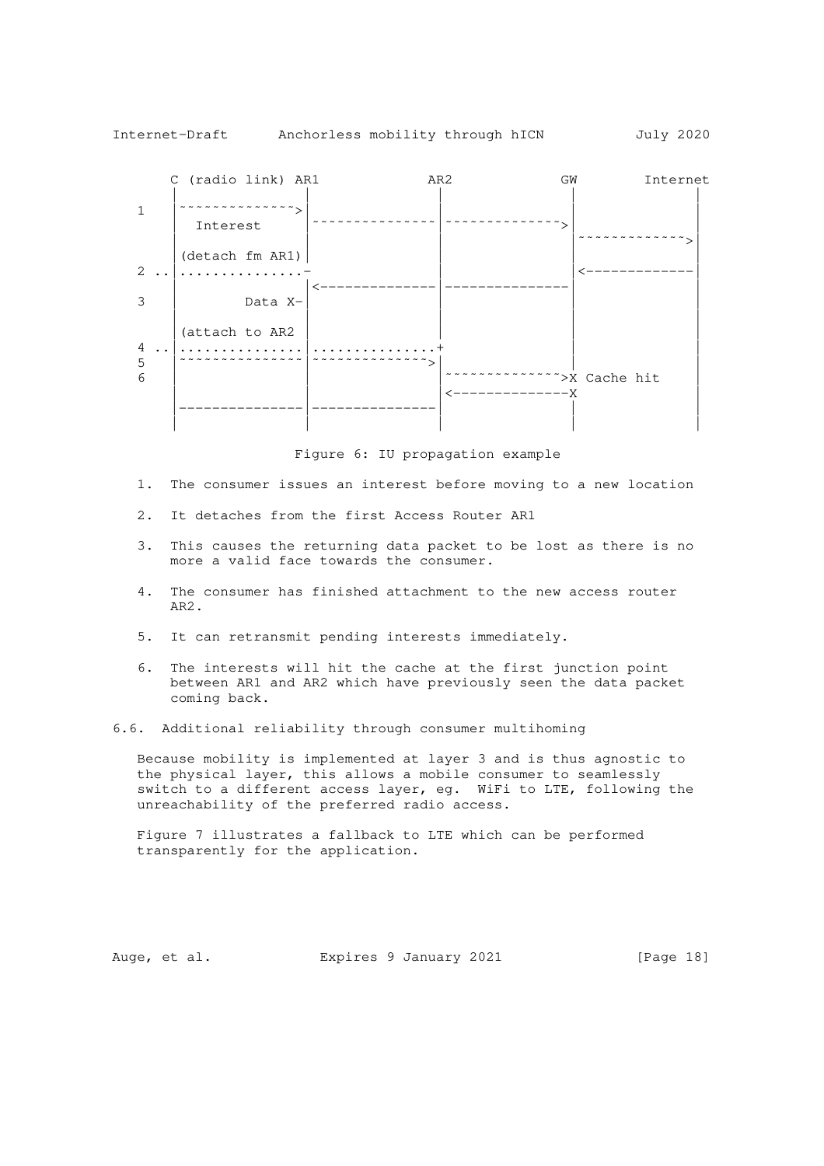

Figure 6: IU propagation example

- 1. The consumer issues an interest before moving to a new location
- 2. It detaches from the first Access Router AR1
- 3. This causes the returning data packet to be lost as there is no more a valid face towards the consumer.
- 4. The consumer has finished attachment to the new access router AR2.
- 5. It can retransmit pending interests immediately.
- 6. The interests will hit the cache at the first junction point between AR1 and AR2 which have previously seen the data packet coming back.
- 6.6. Additional reliability through consumer multihoming

 Because mobility is implemented at layer 3 and is thus agnostic to the physical layer, this allows a mobile consumer to seamlessly switch to a different access layer, eg. WiFi to LTE, following the unreachability of the preferred radio access.

 Figure 7 illustrates a fallback to LTE which can be performed transparently for the application.

Auge, et al. Expires 9 January 2021 [Page 18]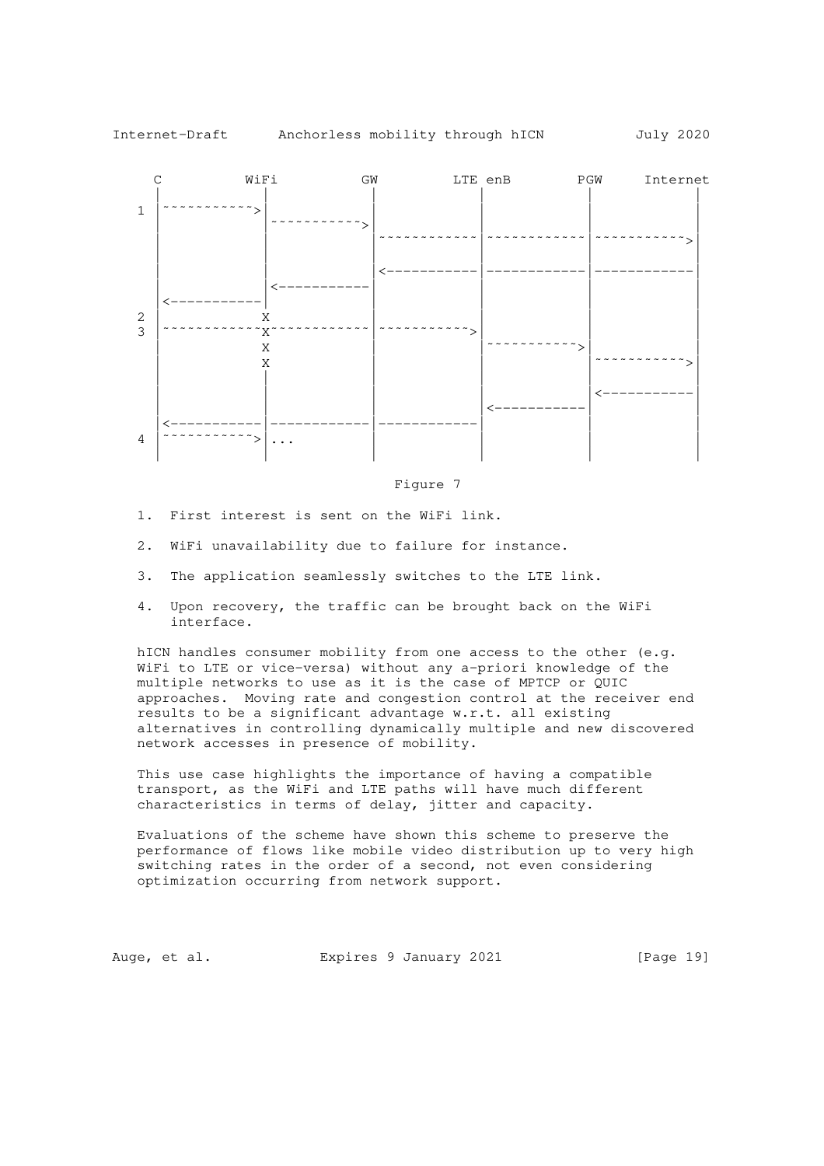

Figure 7

- 1. First interest is sent on the WiFi link.
- 2. WiFi unavailability due to failure for instance.
- 3. The application seamlessly switches to the LTE link.
- 4. Upon recovery, the traffic can be brought back on the WiFi interface.

hICN handles consumer mobility from one access to the other (e.g. WiFi to LTE or vice-versa) without any a-priori knowledge of the multiple networks to use as it is the case of MPTCP or QUIC approaches. Moving rate and congestion control at the receiver end results to be a significant advantage w.r.t. all existing alternatives in controlling dynamically multiple and new discovered network accesses in presence of mobility.

 This use case highlights the importance of having a compatible transport, as the WiFi and LTE paths will have much different characteristics in terms of delay, jitter and capacity.

 Evaluations of the scheme have shown this scheme to preserve the performance of flows like mobile video distribution up to very high switching rates in the order of a second, not even considering optimization occurring from network support.

Auge, et al. Expires 9 January 2021 [Page 19]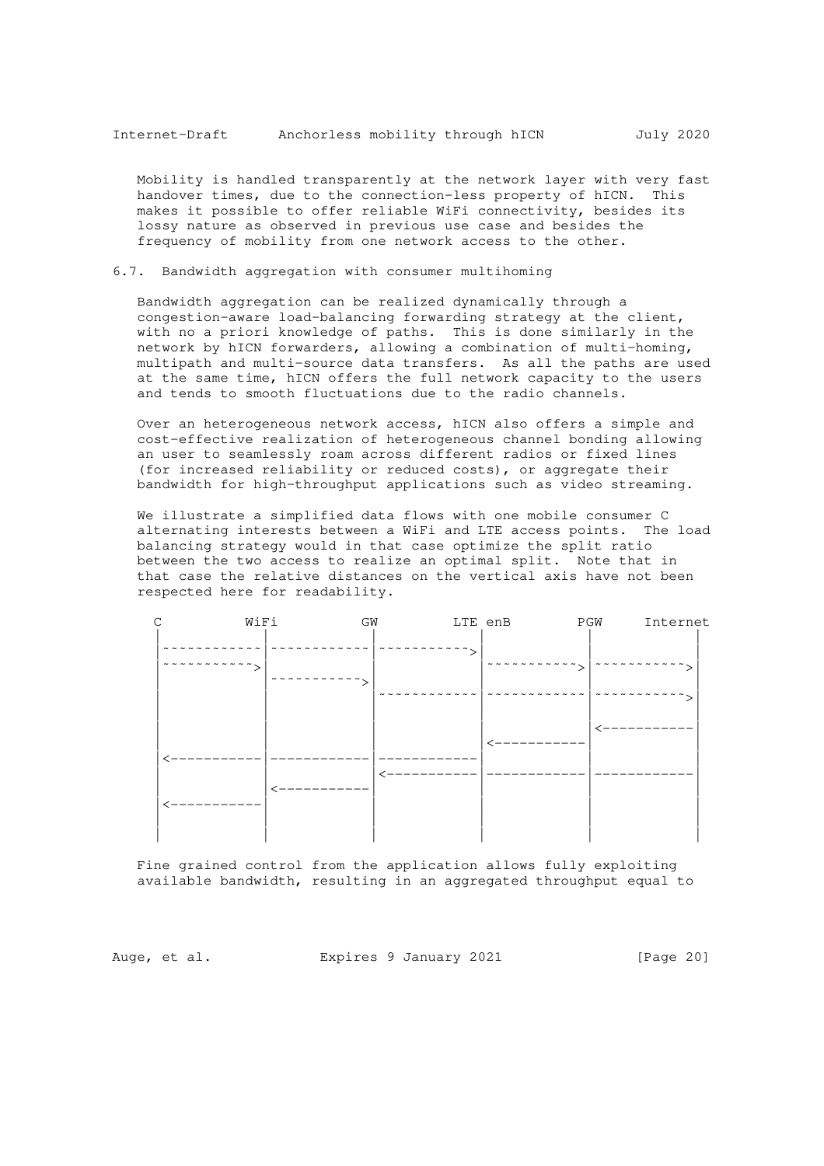Mobility is handled transparently at the network layer with very fast handover times, due to the connection-less property of hICN. This makes it possible to offer reliable WiFi connectivity, besides its lossy nature as observed in previous use case and besides the frequency of mobility from one network access to the other.

6.7. Bandwidth aggregation with consumer multihoming

 Bandwidth aggregation can be realized dynamically through a congestion-aware load-balancing forwarding strategy at the client, with no a priori knowledge of paths. This is done similarly in the network by hICN forwarders, allowing a combination of multi-homing, multipath and multi-source data transfers. As all the paths are used at the same time, hICN offers the full network capacity to the users and tends to smooth fluctuations due to the radio channels.

 Over an heterogeneous network access, hICN also offers a simple and cost-effective realization of heterogeneous channel bonding allowing an user to seamlessly roam across different radios or fixed lines (for increased reliability or reduced costs), or aggregate their bandwidth for high-throughput applications such as video streaming.

 We illustrate a simplified data flows with one mobile consumer C alternating interests between a WiFi and LTE access points. The load balancing strategy would in that case optimize the split ratio between the two access to realize an optimal split. Note that in that case the relative distances on the vertical axis have not been respected here for readability.

| WiFi | GW | LTE enB | PGW<br>Internet |
|------|----|---------|-----------------|
|      |    |         |                 |
|      |    |         |                 |
|      |    |         |                 |
|      |    |         |                 |
|      |    |         |                 |
|      |    |         |                 |

 Fine grained control from the application allows fully exploiting available bandwidth, resulting in an aggregated throughput equal to

Auge, et al. Expires 9 January 2021 [Page 20]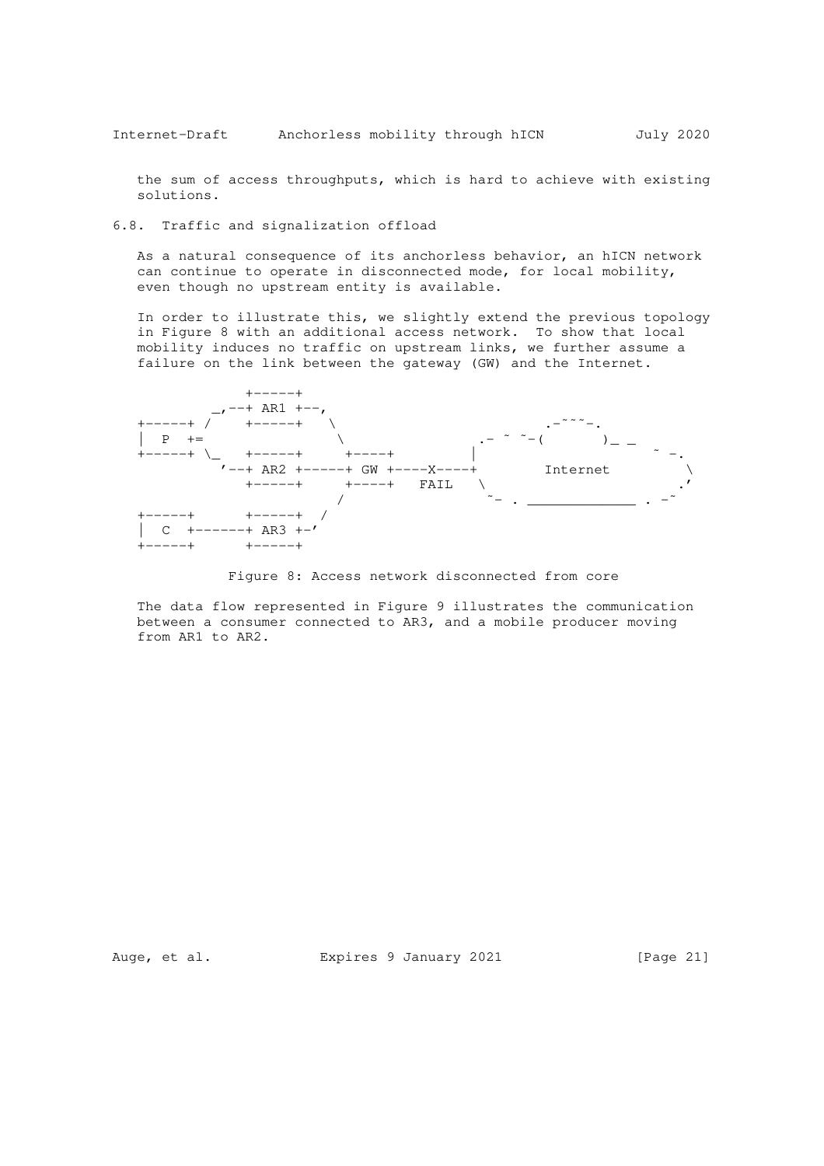the sum of access throughputs, which is hard to achieve with existing solutions.

6.8. Traffic and signalization offload

 As a natural consequence of its anchorless behavior, an hICN network can continue to operate in disconnected mode, for local mobility, even though no upstream entity is available.

 In order to illustrate this, we slightly extend the previous topology in Figure 8 with an additional access network. To show that local mobility induces no traffic on upstream links, we further assume a failure on the link between the gateway (GW) and the Internet.



Figure 8: Access network disconnected from core

 The data flow represented in Figure 9 illustrates the communication between a consumer connected to AR3, and a mobile producer moving from AR1 to AR2.

Auge, et al. Expires 9 January 2021 [Page 21]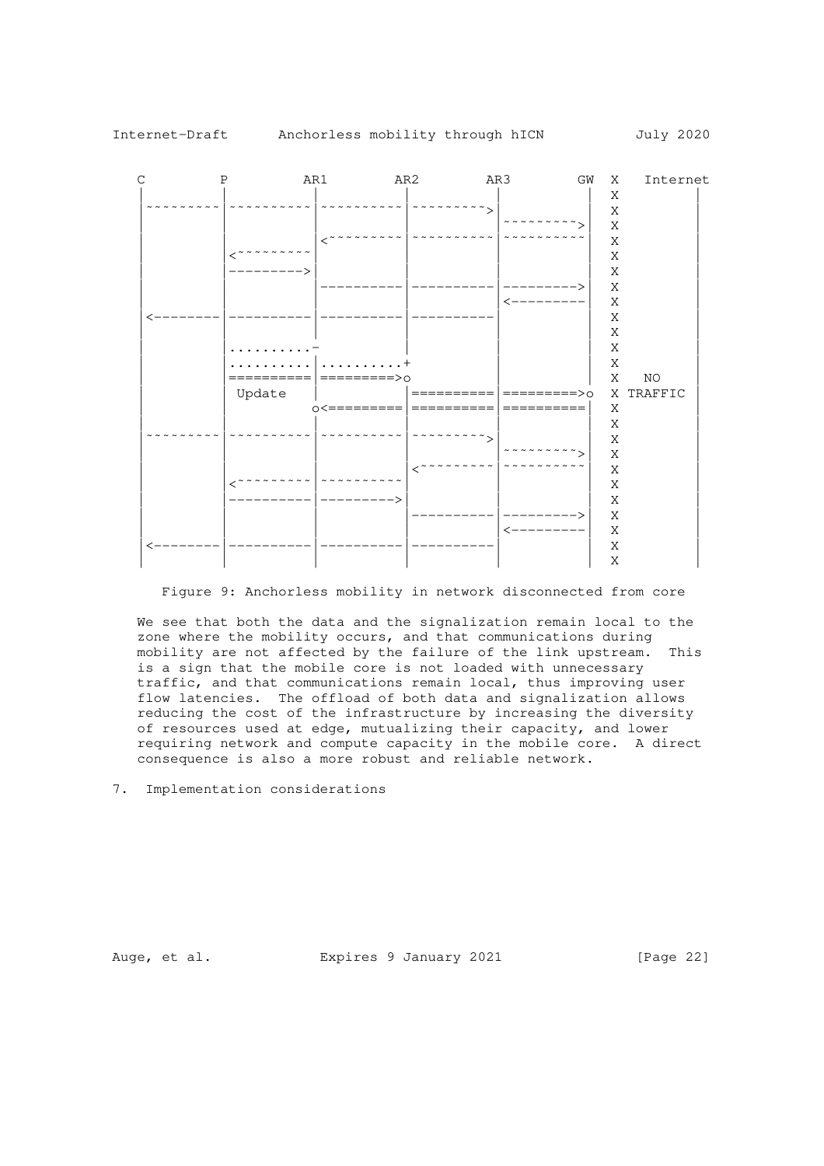

Figure 9: Anchorless mobility in network disconnected from core

 We see that both the data and the signalization remain local to the zone where the mobility occurs, and that communications during mobility are not affected by the failure of the link upstream. This is a sign that the mobile core is not loaded with unnecessary traffic, and that communications remain local, thus improving user flow latencies. The offload of both data and signalization allows reducing the cost of the infrastructure by increasing the diversity of resources used at edge, mutualizing their capacity, and lower requiring network and compute capacity in the mobile core. A direct consequence is also a more robust and reliable network.

7. Implementation considerations

Auge, et al. Expires 9 January 2021 [Page 22]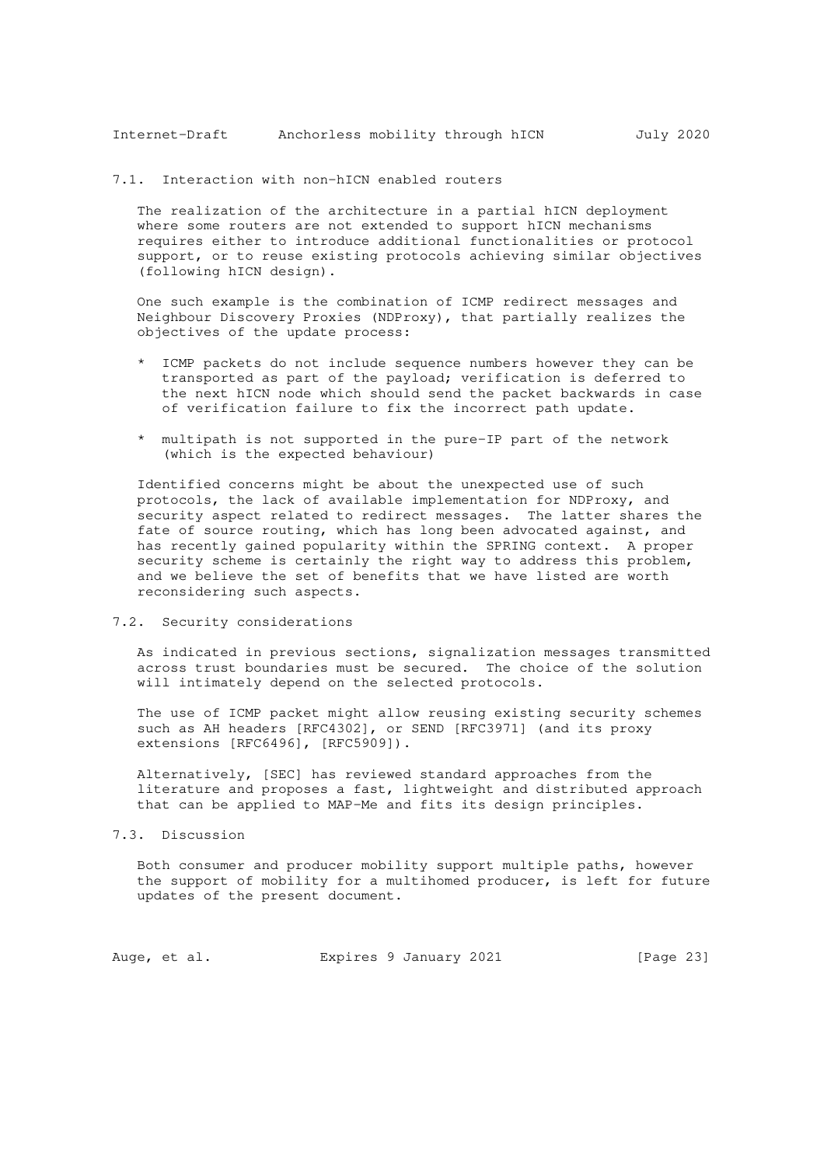### 7.1. Interaction with non-hICN enabled routers

 The realization of the architecture in a partial hICN deployment where some routers are not extended to support hICN mechanisms requires either to introduce additional functionalities or protocol support, or to reuse existing protocols achieving similar objectives (following hICN design).

 One such example is the combination of ICMP redirect messages and Neighbour Discovery Proxies (NDProxy), that partially realizes the objectives of the update process:

- \* ICMP packets do not include sequence numbers however they can be transported as part of the payload; verification is deferred to the next hICN node which should send the packet backwards in case of verification failure to fix the incorrect path update.
- \* multipath is not supported in the pure-IP part of the network (which is the expected behaviour)

 Identified concerns might be about the unexpected use of such protocols, the lack of available implementation for NDProxy, and security aspect related to redirect messages. The latter shares the fate of source routing, which has long been advocated against, and has recently gained popularity within the SPRING context. A proper security scheme is certainly the right way to address this problem, and we believe the set of benefits that we have listed are worth reconsidering such aspects.

7.2. Security considerations

 As indicated in previous sections, signalization messages transmitted across trust boundaries must be secured. The choice of the solution will intimately depend on the selected protocols.

 The use of ICMP packet might allow reusing existing security schemes such as AH headers [RFC4302], or SEND [RFC3971] (and its proxy extensions [RFC6496], [RFC5909]).

 Alternatively, [SEC] has reviewed standard approaches from the literature and proposes a fast, lightweight and distributed approach that can be applied to MAP-Me and fits its design principles.

7.3. Discussion

 Both consumer and producer mobility support multiple paths, however the support of mobility for a multihomed producer, is left for future updates of the present document.

Auge, et al. Expires 9 January 2021 [Page 23]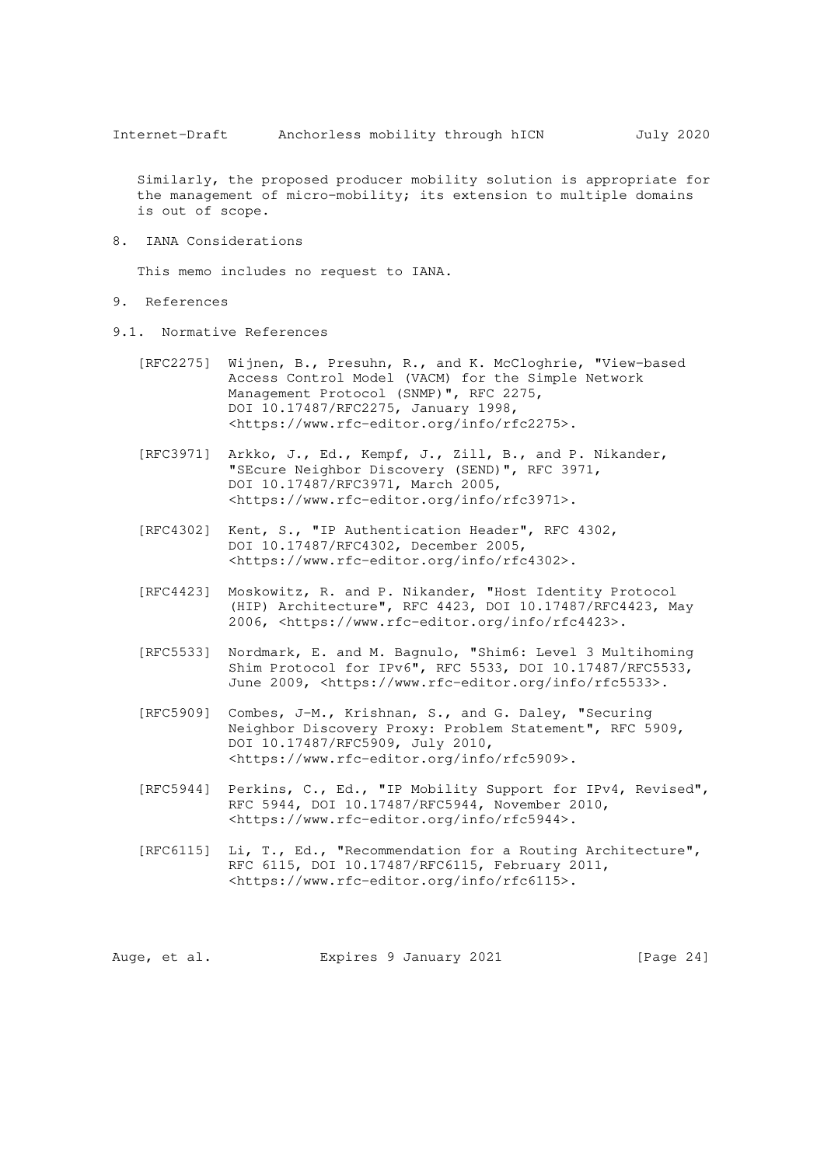Similarly, the proposed producer mobility solution is appropriate for the management of micro-mobility; its extension to multiple domains is out of scope.

8. IANA Considerations

This memo includes no request to IANA.

- 9. References
- 9.1. Normative References
	- [RFC2275] Wijnen, B., Presuhn, R., and K. McCloghrie, "View-based Access Control Model (VACM) for the Simple Network Management Protocol (SNMP)", RFC 2275, DOI 10.17487/RFC2275, January 1998, <https://www.rfc-editor.org/info/rfc2275>.
	- [RFC3971] Arkko, J., Ed., Kempf, J., Zill, B., and P. Nikander, "SEcure Neighbor Discovery (SEND)", RFC 3971, DOI 10.17487/RFC3971, March 2005, <https://www.rfc-editor.org/info/rfc3971>.
	- [RFC4302] Kent, S., "IP Authentication Header", RFC 4302, DOI 10.17487/RFC4302, December 2005, <https://www.rfc-editor.org/info/rfc4302>.
- [RFC4423] Moskowitz, R. and P. Nikander, "Host Identity Protocol (HIP) Architecture", RFC 4423, DOI 10.17487/RFC4423, May 2006, <https://www.rfc-editor.org/info/rfc4423>.
	- [RFC5533] Nordmark, E. and M. Bagnulo, "Shim6: Level 3 Multihoming Shim Protocol for IPv6", RFC 5533, DOI 10.17487/RFC5533, June 2009, <https://www.rfc-editor.org/info/rfc5533>.
	- [RFC5909] Combes, J-M., Krishnan, S., and G. Daley, "Securing Neighbor Discovery Proxy: Problem Statement", RFC 5909, DOI 10.17487/RFC5909, July 2010, <https://www.rfc-editor.org/info/rfc5909>.
	- [RFC5944] Perkins, C., Ed., "IP Mobility Support for IPv4, Revised", RFC 5944, DOI 10.17487/RFC5944, November 2010, <https://www.rfc-editor.org/info/rfc5944>.
	- [RFC6115] Li, T., Ed., "Recommendation for a Routing Architecture", RFC 6115, DOI 10.17487/RFC6115, February 2011, <https://www.rfc-editor.org/info/rfc6115>.

Auge, et al. Expires 9 January 2021 [Page 24]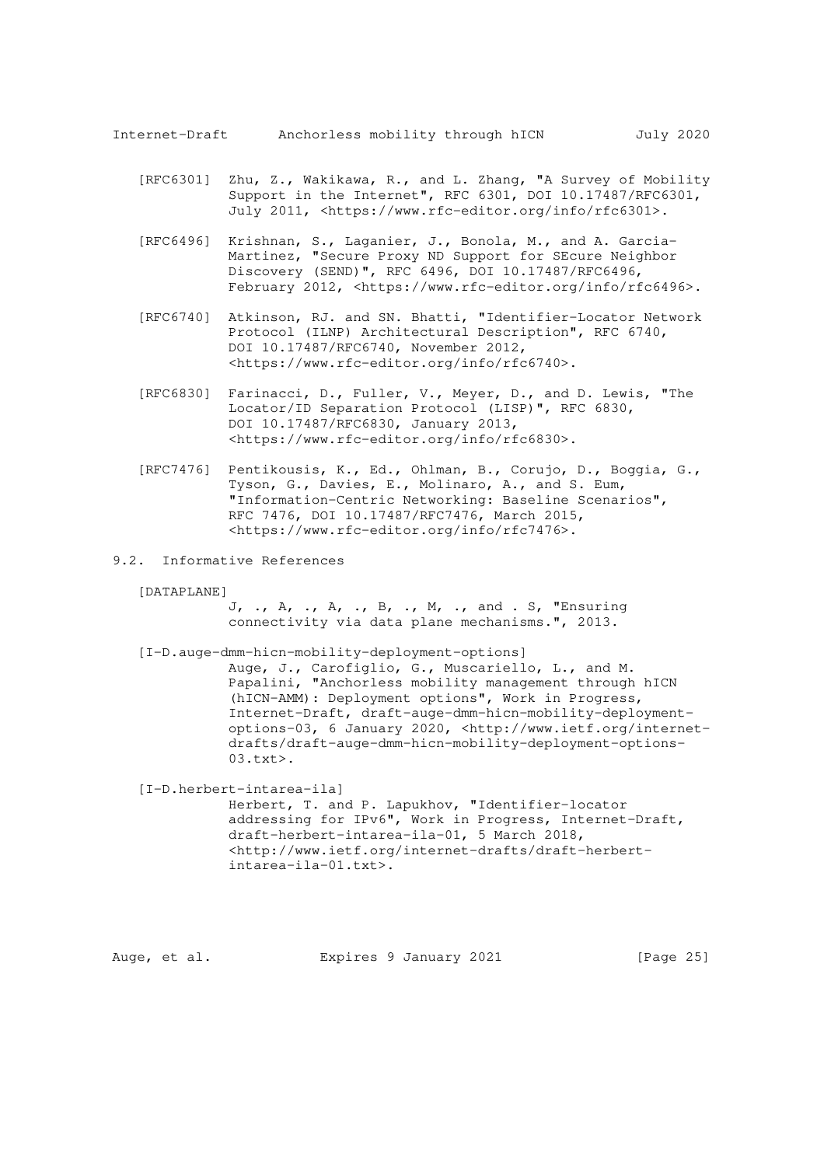- [RFC6301] Zhu, Z., Wakikawa, R., and L. Zhang, "A Survey of Mobility Support in the Internet", RFC 6301, DOI 10.17487/RFC6301, July 2011, <https://www.rfc-editor.org/info/rfc6301>.
- [RFC6496] Krishnan, S., Laganier, J., Bonola, M., and A. Garcia- Martinez, "Secure Proxy ND Support for SEcure Neighbor Discovery (SEND)", RFC 6496, DOI 10.17487/RFC6496, February 2012, <https://www.rfc-editor.org/info/rfc6496>.
	- [RFC6740] Atkinson, RJ. and SN. Bhatti, "Identifier-Locator Network Protocol (ILNP) Architectural Description", RFC 6740, DOI 10.17487/RFC6740, November 2012, <https://www.rfc-editor.org/info/rfc6740>.
	- [RFC6830] Farinacci, D., Fuller, V., Meyer, D., and D. Lewis, "The Locator/ID Separation Protocol (LISP)", RFC 6830, DOI 10.17487/RFC6830, January 2013, <https://www.rfc-editor.org/info/rfc6830>.
	- [RFC7476] Pentikousis, K., Ed., Ohlman, B., Corujo, D., Boggia, G., Tyson, G., Davies, E., Molinaro, A., and S. Eum, "Information-Centric Networking: Baseline Scenarios", RFC 7476, DOI 10.17487/RFC7476, March 2015, <https://www.rfc-editor.org/info/rfc7476>.
- 9.2. Informative References

[DATAPLANE]

 J, ., A, ., A, ., B, ., M, ., and . S, "Ensuring connectivity via data plane mechanisms.", 2013.

[I-D.auge-dmm-hicn-mobility-deployment-options]

 Auge, J., Carofiglio, G., Muscariello, L., and M. Papalini, "Anchorless mobility management through hICN (hICN-AMM): Deployment options", Work in Progress, Internet-Draft, draft-auge-dmm-hicn-mobility-deployment options-03, 6 January 2020, <http://www.ietf.org/internet drafts/draft-auge-dmm-hicn-mobility-deployment-options- 03.txt>.

 [I-D.herbert-intarea-ila] Herbert, T. and P. Lapukhov, "Identifier-locator addressing for IPv6", Work in Progress, Internet-Draft, draft-herbert-intarea-ila-01, 5 March 2018, <http://www.ietf.org/internet-drafts/draft-herbert intarea-ila-01.txt>.

Auge, et al. Expires 9 January 2021 [Page 25]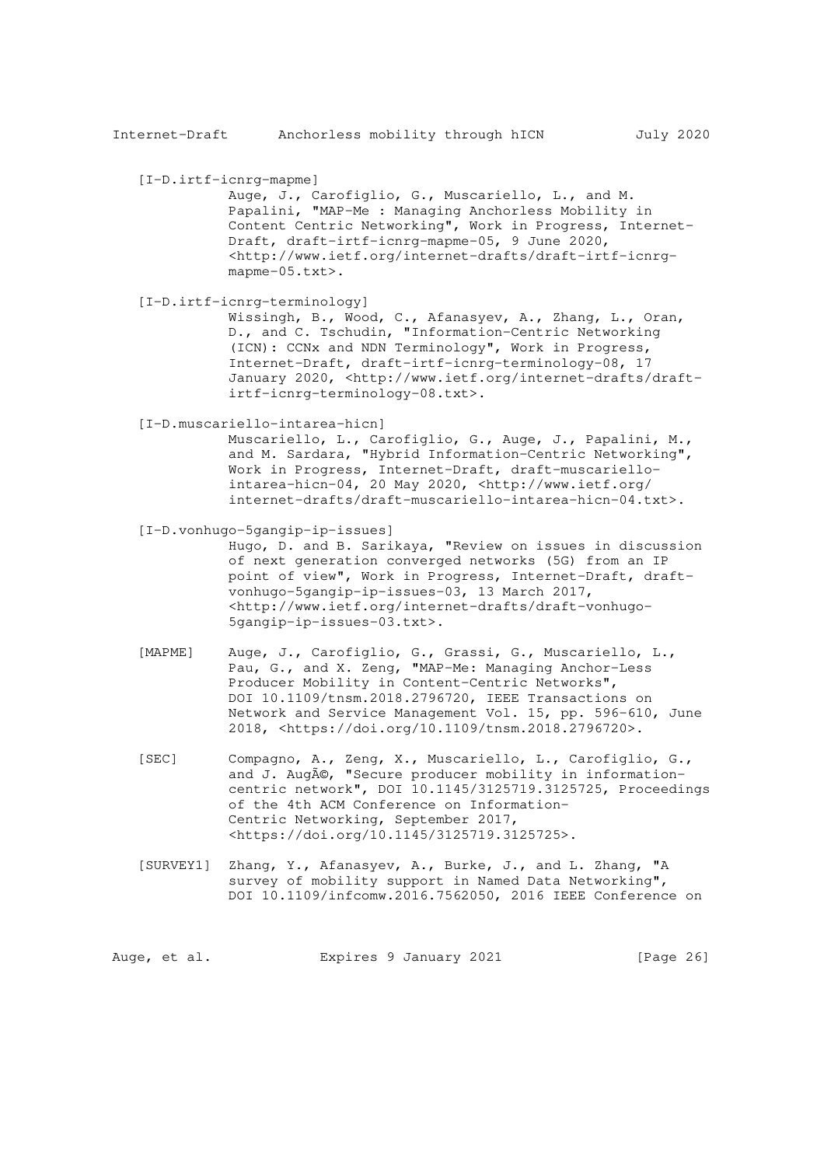[I-D.irtf-icnrg-mapme]

 Auge, J., Carofiglio, G., Muscariello, L., and M. Papalini, "MAP-Me : Managing Anchorless Mobility in Content Centric Networking", Work in Progress, Internet- Draft, draft-irtf-icnrg-mapme-05, 9 June 2020, <http://www.ietf.org/internet-drafts/draft-irtf-icnrg mapme-05.txt>.

[I-D.irtf-icnrg-terminology]

 Wissingh, B., Wood, C., Afanasyev, A., Zhang, L., Oran, D., and C. Tschudin, "Information-Centric Networking (ICN): CCNx and NDN Terminology", Work in Progress, Internet-Draft, draft-irtf-icnrg-terminology-08, 17 January 2020, <http://www.ietf.org/internet-drafts/draft irtf-icnrg-terminology-08.txt>.

[I-D.muscariello-intarea-hicn]

 Muscariello, L., Carofiglio, G., Auge, J., Papalini, M., and M. Sardara, "Hybrid Information-Centric Networking", Work in Progress, Internet-Draft, draft-muscariello intarea-hicn-04, 20 May 2020, <http://www.ietf.org/ internet-drafts/draft-muscariello-intarea-hicn-04.txt>.

 [I-D.vonhugo-5gangip-ip-issues] Hugo, D. and B. Sarikaya, "Review on issues in discussion of next generation converged networks (5G) from an IP point of view", Work in Progress, Internet-Draft, draft vonhugo-5gangip-ip-issues-03, 13 March 2017, <http://www.ietf.org/internet-drafts/draft-vonhugo- 5gangip-ip-issues-03.txt>.

- [MAPME] Auge, J., Carofiglio, G., Grassi, G., Muscariello, L., Pau, G., and X. Zeng, "MAP-Me: Managing Anchor-Less Producer Mobility in Content-Centric Networks", DOI 10.1109/tnsm.2018.2796720, IEEE Transactions on Network and Service Management Vol. 15, pp. 596-610, June 2018, <https://doi.org/10.1109/tnsm.2018.2796720>.
- [SEC] Compagno, A., Zeng, X., Muscariello, L., Carofiglio, G., and J. Augé, "Secure producer mobility in information centric network", DOI 10.1145/3125719.3125725, Proceedings of the 4th ACM Conference on Information- Centric Networking, September 2017, <https://doi.org/10.1145/3125719.3125725>.
- [SURVEY1] Zhang, Y., Afanasyev, A., Burke, J., and L. Zhang, "A survey of mobility support in Named Data Networking", DOI 10.1109/infcomw.2016.7562050, 2016 IEEE Conference on

Auge, et al. Expires 9 January 2021 [Page 26]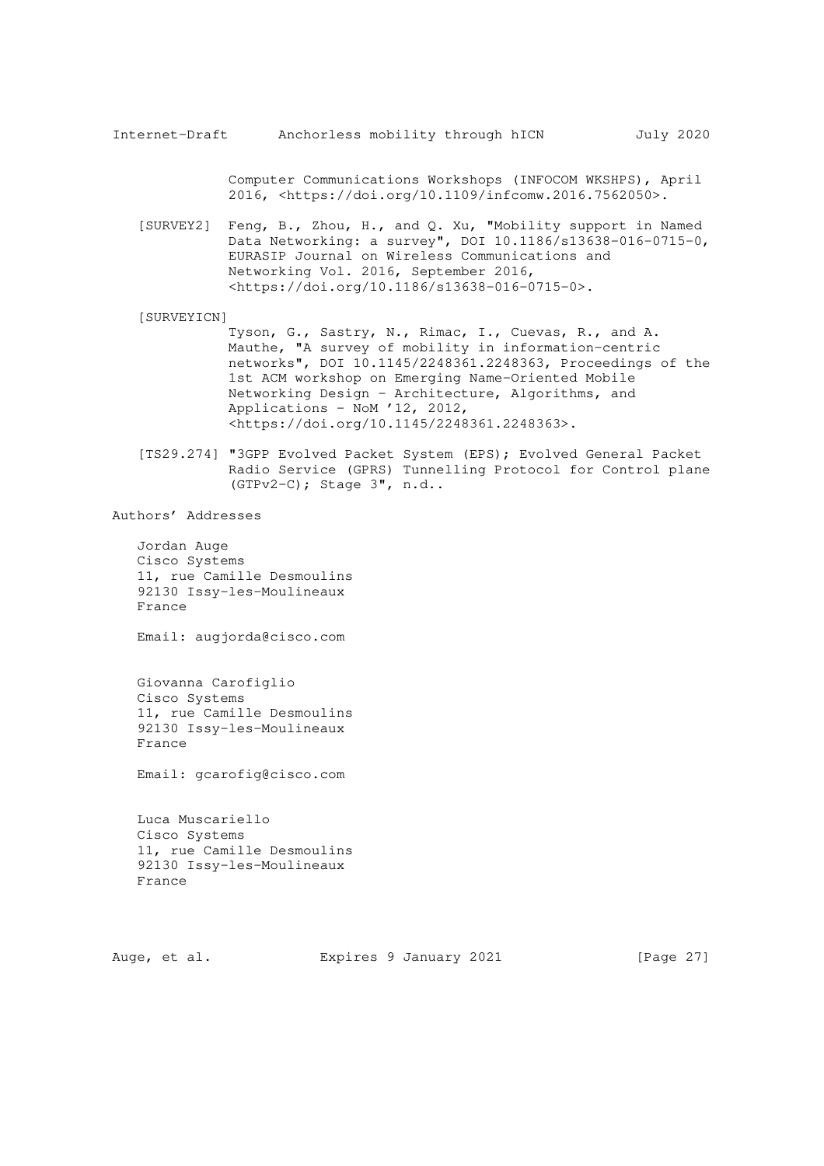Computer Communications Workshops (INFOCOM WKSHPS), April 2016, <https://doi.org/10.1109/infcomw.2016.7562050>.

 [SURVEY2] Feng, B., Zhou, H., and Q. Xu, "Mobility support in Named Data Networking: a survey", DOI 10.1186/s13638-016-0715-0, EURASIP Journal on Wireless Communications and Networking Vol. 2016, September 2016, <https://doi.org/10.1186/s13638-016-0715-0>.

#### [SURVEYICN]

 Tyson, G., Sastry, N., Rimac, I., Cuevas, R., and A. Mauthe, "A survey of mobility in information-centric networks", DOI 10.1145/2248361.2248363, Proceedings of the 1st ACM workshop on Emerging Name-Oriented Mobile Networking Design - Architecture, Algorithms, and Applications - NoM '12, 2012, <https://doi.org/10.1145/2248361.2248363>.

 [TS29.274] "3GPP Evolved Packet System (EPS); Evolved General Packet Radio Service (GPRS) Tunnelling Protocol for Control plane (GTPv2-C); Stage 3", n.d..

Authors' Addresses

 Jordan Auge Cisco Systems 11, rue Camille Desmoulins 92130 Issy-les-Moulineaux France

Email: augjorda@cisco.com

 Giovanna Carofiglio Cisco Systems 11, rue Camille Desmoulins 92130 Issy-les-Moulineaux France

Email: gcarofig@cisco.com

 Luca Muscariello Cisco Systems 11, rue Camille Desmoulins 92130 Issy-les-Moulineaux France

Auge, et al. Expires 9 January 2021 [Page 27]